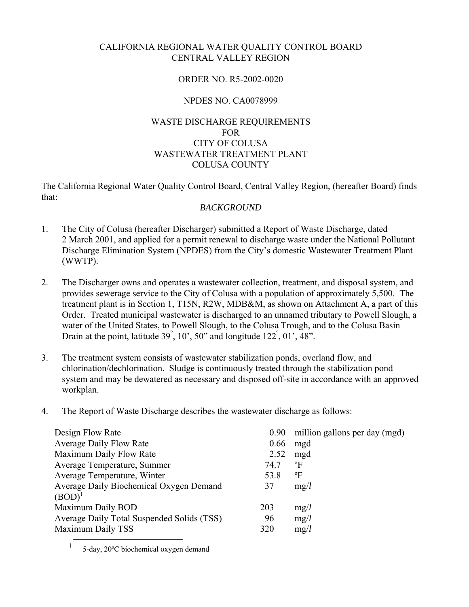# CALIFORNIA REGIONAL WATER QUALITY CONTROL BOARD CENTRAL VALLEY REGION

# ORDER NO. R5-2002-0020

# NPDES NO. CA0078999

# WASTE DISCHARGE REQUIREMENTS FOR CITY OF COLUSA WASTEWATER TREATMENT PLANT COLUSA COUNTY

The California Regional Water Quality Control Board, Central Valley Region, (hereafter Board) finds that:

## *BACKGROUND*

- 1. The City of Colusa (hereafter Discharger) submitted a Report of Waste Discharge, dated 2 March 2001, and applied for a permit renewal to discharge waste under the National Pollutant Discharge Elimination System (NPDES) from the City's domestic Wastewater Treatment Plant (WWTP).
- 2. The Discharger owns and operates a wastewater collection, treatment, and disposal system, and provides sewerage service to the City of Colusa with a population of approximately 5,500. The treatment plant is in Section 1, T15N, R2W, MDB&M, as shown on Attachment A, a part of this Order. Treated municipal wastewater is discharged to an unnamed tributary to Powell Slough, a water of the United States, to Powell Slough, to the Colusa Trough, and to the Colusa Basin Drain at the point, latitude  $39^{\degree}$ ,  $10^{\degree}$ ,  $50^{\degree}$  and longitude  $122^{\degree}$ ,  $01^{\degree}$ ,  $48^{\degree}$ .
- 3. The treatment system consists of wastewater stabilization ponds, overland flow, and chlorination/dechlorination. Sludge is continuously treated through the stabilization pond system and may be dewatered as necessary and disposed off-site in accordance with an approved workplan.
- 4. The Report of Waste Discharge describes the wastewater discharge as follows:

| Design Flow Rate                           | 0.90 | million gallons per day (mgd) |
|--------------------------------------------|------|-------------------------------|
| <b>Average Daily Flow Rate</b>             | 0.66 | mgd                           |
| Maximum Daily Flow Rate                    | 2.52 | mgd                           |
| Average Temperature, Summer                | 74.7 | $\mathrm{P}$                  |
| Average Temperature, Winter                | 53.8 | °F                            |
| Average Daily Biochemical Oxygen Demand    | 37   | mg/l                          |
| $(BOD)^{1}$                                |      |                               |
| Maximum Daily BOD                          | 203  | mg/l                          |
| Average Daily Total Suspended Solids (TSS) | 96   | mg/l                          |
| Maximum Daily TSS                          | 320  | mg/l                          |

<sup>1 5-</sup>day, 20ºC biochemical oxygen demand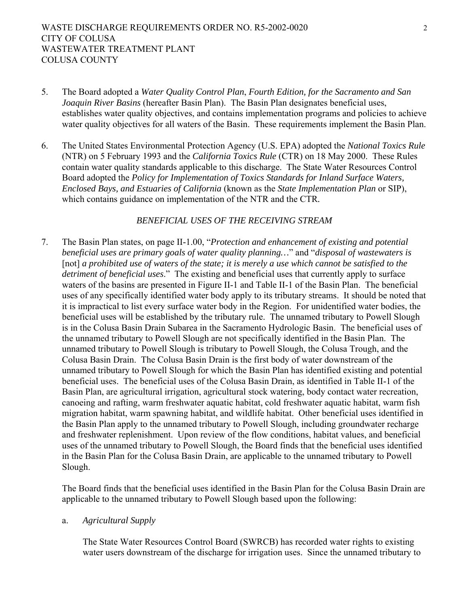- 5. The Board adopted a *Water Quality Control Plan*, *Fourth Edition, for the Sacramento and San Joaquin River Basins* (hereafter Basin Plan). The Basin Plan designates beneficial uses, establishes water quality objectives, and contains implementation programs and policies to achieve water quality objectives for all waters of the Basin. These requirements implement the Basin Plan.
- 6. The United States Environmental Protection Agency (U.S. EPA) adopted the *National Toxics Rule* (NTR) on 5 February 1993 and the *California Toxics Rule* (CTR) on 18 May 2000. These Rules contain water quality standards applicable to this discharge. The State Water Resources Control Board adopted the *Policy for Implementation of Toxics Standards for Inland Surface Waters, Enclosed Bays, and Estuaries of California* (known as the *State Implementation Plan* or SIP), which contains guidance on implementation of the NTR and the CTR*.*

#### *BENEFICIAL USES OF THE RECEIVING STREAM*

7. The Basin Plan states, on page II-1.00, "*Protection and enhancement of existing and potential beneficial uses are primary goals of water quality planning…*" and "*disposal of wastewaters is*  [not] *a prohibited use of waters of the state; it is merely a use which cannot be satisfied to the detriment of beneficial uses*." The existing and beneficial uses that currently apply to surface waters of the basins are presented in Figure II-1 and Table II-1 of the Basin Plan. The beneficial uses of any specifically identified water body apply to its tributary streams. It should be noted that it is impractical to list every surface water body in the Region. For unidentified water bodies, the beneficial uses will be established by the tributary rule. The unnamed tributary to Powell Slough is in the Colusa Basin Drain Subarea in the Sacramento Hydrologic Basin. The beneficial uses of the unnamed tributary to Powell Slough are not specifically identified in the Basin Plan. The unnamed tributary to Powell Slough is tributary to Powell Slough, the Colusa Trough, and the Colusa Basin Drain. The Colusa Basin Drain is the first body of water downstream of the unnamed tributary to Powell Slough for which the Basin Plan has identified existing and potential beneficial uses. The beneficial uses of the Colusa Basin Drain, as identified in Table II-1 of the Basin Plan, are agricultural irrigation, agricultural stock watering, body contact water recreation, canoeing and rafting, warm freshwater aquatic habitat, cold freshwater aquatic habitat, warm fish migration habitat, warm spawning habitat, and wildlife habitat. Other beneficial uses identified in the Basin Plan apply to the unnamed tributary to Powell Slough, including groundwater recharge and freshwater replenishment. Upon review of the flow conditions, habitat values, and beneficial uses of the unnamed tributary to Powell Slough, the Board finds that the beneficial uses identified in the Basin Plan for the Colusa Basin Drain, are applicable to the unnamed tributary to Powell Slough.

The Board finds that the beneficial uses identified in the Basin Plan for the Colusa Basin Drain are applicable to the unnamed tributary to Powell Slough based upon the following:

#### a. *Agricultural Supply*

The State Water Resources Control Board (SWRCB) has recorded water rights to existing water users downstream of the discharge for irrigation uses. Since the unnamed tributary to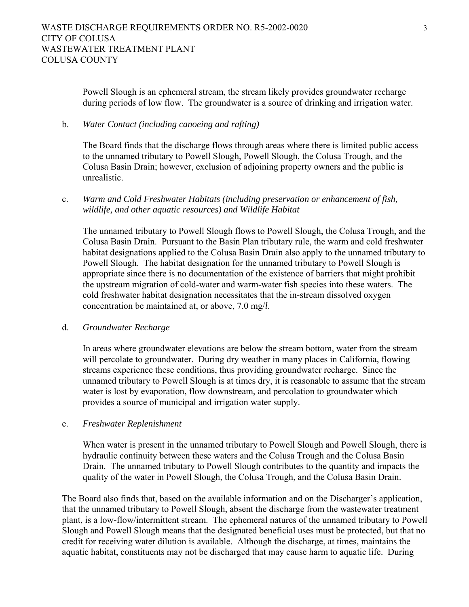Powell Slough is an ephemeral stream, the stream likely provides groundwater recharge during periods of low flow. The groundwater is a source of drinking and irrigation water.

#### b. *Water Contact (including canoeing and rafting)*

The Board finds that the discharge flows through areas where there is limited public access to the unnamed tributary to Powell Slough, Powell Slough, the Colusa Trough, and the Colusa Basin Drain; however, exclusion of adjoining property owners and the public is unrealistic.

# c. *Warm and Cold Freshwater Habitats (including preservation or enhancement of fish, wildlife, and other aquatic resources) and Wildlife Habitat*

The unnamed tributary to Powell Slough flows to Powell Slough, the Colusa Trough, and the Colusa Basin Drain. Pursuant to the Basin Plan tributary rule, the warm and cold freshwater habitat designations applied to the Colusa Basin Drain also apply to the unnamed tributary to Powell Slough. The habitat designation for the unnamed tributary to Powell Slough is appropriate since there is no documentation of the existence of barriers that might prohibit the upstream migration of cold-water and warm-water fish species into these waters. The cold freshwater habitat designation necessitates that the in-stream dissolved oxygen concentration be maintained at, or above, 7.0 mg/*l*.

#### d. *Groundwater Recharge*

In areas where groundwater elevations are below the stream bottom, water from the stream will percolate to groundwater. During dry weather in many places in California, flowing streams experience these conditions, thus providing groundwater recharge. Since the unnamed tributary to Powell Slough is at times dry, it is reasonable to assume that the stream water is lost by evaporation, flow downstream, and percolation to groundwater which provides a source of municipal and irrigation water supply.

#### e. *Freshwater Replenishment*

When water is present in the unnamed tributary to Powell Slough and Powell Slough, there is hydraulic continuity between these waters and the Colusa Trough and the Colusa Basin Drain. The unnamed tributary to Powell Slough contributes to the quantity and impacts the quality of the water in Powell Slough, the Colusa Trough, and the Colusa Basin Drain.

The Board also finds that, based on the available information and on the Discharger's application, that the unnamed tributary to Powell Slough, absent the discharge from the wastewater treatment plant, is a low-flow/intermittent stream. The ephemeral natures of the unnamed tributary to Powell Slough and Powell Slough means that the designated beneficial uses must be protected, but that no credit for receiving water dilution is available. Although the discharge, at times, maintains the aquatic habitat, constituents may not be discharged that may cause harm to aquatic life. During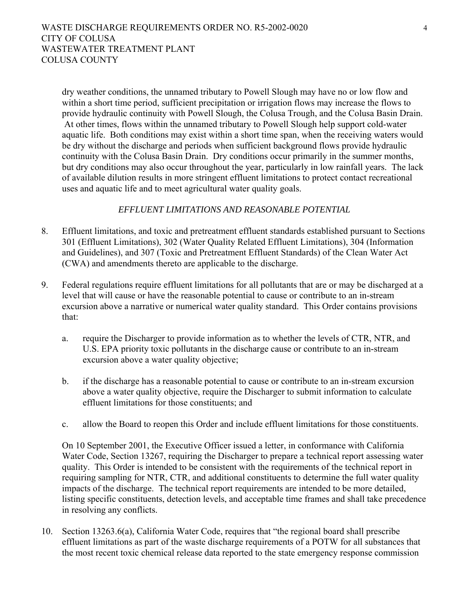dry weather conditions, the unnamed tributary to Powell Slough may have no or low flow and within a short time period, sufficient precipitation or irrigation flows may increase the flows to provide hydraulic continuity with Powell Slough, the Colusa Trough, and the Colusa Basin Drain. At other times, flows within the unnamed tributary to Powell Slough help support cold-water aquatic life. Both conditions may exist within a short time span, when the receiving waters would be dry without the discharge and periods when sufficient background flows provide hydraulic continuity with the Colusa Basin Drain. Dry conditions occur primarily in the summer months, but dry conditions may also occur throughout the year, particularly in low rainfall years. The lack of available dilution results in more stringent effluent limitations to protect contact recreational uses and aquatic life and to meet agricultural water quality goals.

### *EFFLUENT LIMITATIONS AND REASONABLE POTENTIAL*

- 8. Effluent limitations, and toxic and pretreatment effluent standards established pursuant to Sections 301 (Effluent Limitations), 302 (Water Quality Related Effluent Limitations), 304 (Information and Guidelines), and 307 (Toxic and Pretreatment Effluent Standards) of the Clean Water Act (CWA) and amendments thereto are applicable to the discharge.
- 9. Federal regulations require effluent limitations for all pollutants that are or may be discharged at a level that will cause or have the reasonable potential to cause or contribute to an in-stream excursion above a narrative or numerical water quality standard. This Order contains provisions that:
	- a. require the Discharger to provide information as to whether the levels of CTR, NTR, and U.S. EPA priority toxic pollutants in the discharge cause or contribute to an in-stream excursion above a water quality objective;
	- b. if the discharge has a reasonable potential to cause or contribute to an in-stream excursion above a water quality objective, require the Discharger to submit information to calculate effluent limitations for those constituents; and
	- c. allow the Board to reopen this Order and include effluent limitations for those constituents.

On 10 September 2001, the Executive Officer issued a letter, in conformance with California Water Code, Section 13267, requiring the Discharger to prepare a technical report assessing water quality. This Order is intended to be consistent with the requirements of the technical report in requiring sampling for NTR, CTR, and additional constituents to determine the full water quality impacts of the discharge. The technical report requirements are intended to be more detailed, listing specific constituents, detection levels, and acceptable time frames and shall take precedence in resolving any conflicts.

10. Section 13263.6(a), California Water Code, requires that "the regional board shall prescribe effluent limitations as part of the waste discharge requirements of a POTW for all substances that the most recent toxic chemical release data reported to the state emergency response commission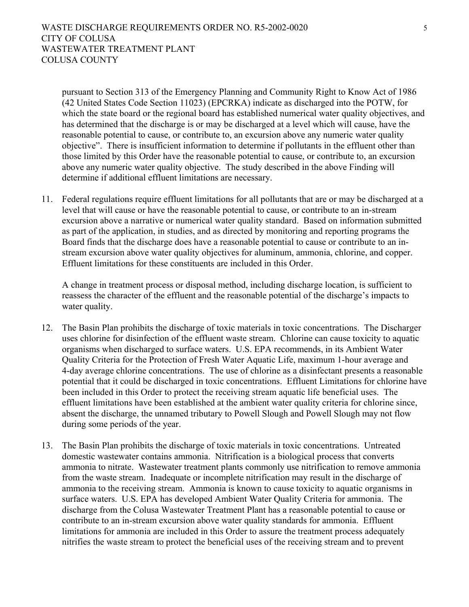pursuant to Section 313 of the Emergency Planning and Community Right to Know Act of 1986 (42 United States Code Section 11023) (EPCRKA) indicate as discharged into the POTW, for which the state board or the regional board has established numerical water quality objectives, and has determined that the discharge is or may be discharged at a level which will cause, have the reasonable potential to cause, or contribute to, an excursion above any numeric water quality objective". There is insufficient information to determine if pollutants in the effluent other than those limited by this Order have the reasonable potential to cause, or contribute to, an excursion above any numeric water quality objective. The study described in the above Finding will determine if additional effluent limitations are necessary.

11. Federal regulations require effluent limitations for all pollutants that are or may be discharged at a level that will cause or have the reasonable potential to cause, or contribute to an in-stream excursion above a narrative or numerical water quality standard. Based on information submitted as part of the application, in studies, and as directed by monitoring and reporting programs the Board finds that the discharge does have a reasonable potential to cause or contribute to an instream excursion above water quality objectives for aluminum, ammonia, chlorine, and copper. Effluent limitations for these constituents are included in this Order.

A change in treatment process or disposal method, including discharge location, is sufficient to reassess the character of the effluent and the reasonable potential of the discharge's impacts to water quality.

- 12. The Basin Plan prohibits the discharge of toxic materials in toxic concentrations. The Discharger uses chlorine for disinfection of the effluent waste stream. Chlorine can cause toxicity to aquatic organisms when discharged to surface waters. U.S. EPA recommends, in its Ambient Water Quality Criteria for the Protection of Fresh Water Aquatic Life, maximum 1-hour average and 4-day average chlorine concentrations. The use of chlorine as a disinfectant presents a reasonable potential that it could be discharged in toxic concentrations. Effluent Limitations for chlorine have been included in this Order to protect the receiving stream aquatic life beneficial uses. The effluent limitations have been established at the ambient water quality criteria for chlorine since, absent the discharge, the unnamed tributary to Powell Slough and Powell Slough may not flow during some periods of the year.
- 13. The Basin Plan prohibits the discharge of toxic materials in toxic concentrations. Untreated domestic wastewater contains ammonia. Nitrification is a biological process that converts ammonia to nitrate. Wastewater treatment plants commonly use nitrification to remove ammonia from the waste stream. Inadequate or incomplete nitrification may result in the discharge of ammonia to the receiving stream. Ammonia is known to cause toxicity to aquatic organisms in surface waters. U.S. EPA has developed Ambient Water Quality Criteria for ammonia. The discharge from the Colusa Wastewater Treatment Plant has a reasonable potential to cause or contribute to an in-stream excursion above water quality standards for ammonia. Effluent limitations for ammonia are included in this Order to assure the treatment process adequately nitrifies the waste stream to protect the beneficial uses of the receiving stream and to prevent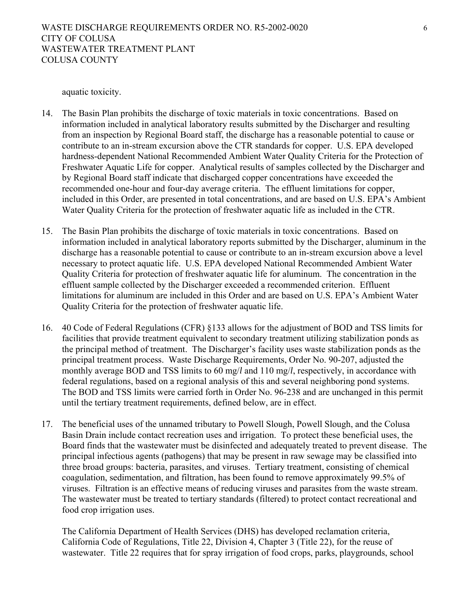aquatic toxicity.

- 14. The Basin Plan prohibits the discharge of toxic materials in toxic concentrations. Based on information included in analytical laboratory results submitted by the Discharger and resulting from an inspection by Regional Board staff, the discharge has a reasonable potential to cause or contribute to an in-stream excursion above the CTR standards for copper. U.S. EPA developed hardness-dependent National Recommended Ambient Water Quality Criteria for the Protection of Freshwater Aquatic Life for copper. Analytical results of samples collected by the Discharger and by Regional Board staff indicate that discharged copper concentrations have exceeded the recommended one-hour and four-day average criteria. The effluent limitations for copper, included in this Order, are presented in total concentrations, and are based on U.S. EPA's Ambient Water Quality Criteria for the protection of freshwater aquatic life as included in the CTR.
- 15. The Basin Plan prohibits the discharge of toxic materials in toxic concentrations. Based on information included in analytical laboratory reports submitted by the Discharger, aluminum in the discharge has a reasonable potential to cause or contribute to an in-stream excursion above a level necessary to protect aquatic life. U.S. EPA developed National Recommended Ambient Water Quality Criteria for protection of freshwater aquatic life for aluminum. The concentration in the effluent sample collected by the Discharger exceeded a recommended criterion. Effluent limitations for aluminum are included in this Order and are based on U.S. EPA's Ambient Water Quality Criteria for the protection of freshwater aquatic life.
- 16. 40 Code of Federal Regulations (CFR) §133 allows for the adjustment of BOD and TSS limits for facilities that provide treatment equivalent to secondary treatment utilizing stabilization ponds as the principal method of treatment. The Discharger's facility uses waste stabilization ponds as the principal treatment process. Waste Discharge Requirements, Order No. 90-207, adjusted the monthly average BOD and TSS limits to 60 mg/*l* and 110 mg/*l*, respectively, in accordance with federal regulations, based on a regional analysis of this and several neighboring pond systems. The BOD and TSS limits were carried forth in Order No. 96-238 and are unchanged in this permit until the tertiary treatment requirements, defined below, are in effect.
- 17. The beneficial uses of the unnamed tributary to Powell Slough, Powell Slough, and the Colusa Basin Drain include contact recreation uses and irrigation. To protect these beneficial uses, the Board finds that the wastewater must be disinfected and adequately treated to prevent disease. The principal infectious agents (pathogens) that may be present in raw sewage may be classified into three broad groups: bacteria, parasites, and viruses. Tertiary treatment, consisting of chemical coagulation, sedimentation, and filtration, has been found to remove approximately 99.5% of viruses. Filtration is an effective means of reducing viruses and parasites from the waste stream. The wastewater must be treated to tertiary standards (filtered) to protect contact recreational and food crop irrigation uses.

The California Department of Health Services (DHS) has developed reclamation criteria, California Code of Regulations, Title 22, Division 4, Chapter 3 (Title 22), for the reuse of wastewater. Title 22 requires that for spray irrigation of food crops, parks, playgrounds, school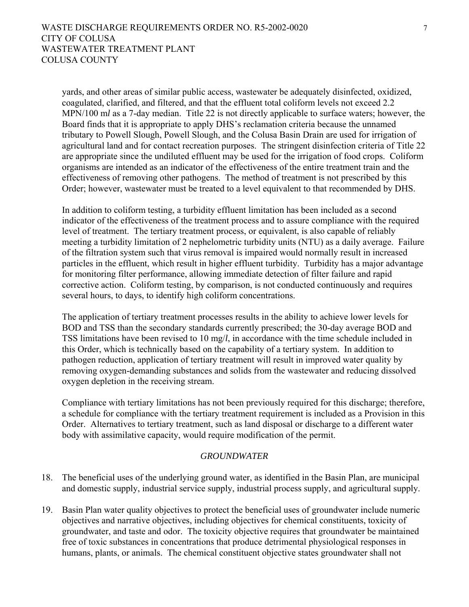yards, and other areas of similar public access, wastewater be adequately disinfected, oxidized, coagulated, clarified, and filtered, and that the effluent total coliform levels not exceed 2.2 MPN/100 m*l* as a 7-day median. Title 22 is not directly applicable to surface waters; however, the Board finds that it is appropriate to apply DHS's reclamation criteria because the unnamed tributary to Powell Slough, Powell Slough, and the Colusa Basin Drain are used for irrigation of agricultural land and for contact recreation purposes. The stringent disinfection criteria of Title 22 are appropriate since the undiluted effluent may be used for the irrigation of food crops. Coliform organisms are intended as an indicator of the effectiveness of the entire treatment train and the effectiveness of removing other pathogens. The method of treatment is not prescribed by this Order; however, wastewater must be treated to a level equivalent to that recommended by DHS.

In addition to coliform testing, a turbidity effluent limitation has been included as a second indicator of the effectiveness of the treatment process and to assure compliance with the required level of treatment. The tertiary treatment process, or equivalent, is also capable of reliably meeting a turbidity limitation of 2 nephelometric turbidity units (NTU) as a daily average. Failure of the filtration system such that virus removal is impaired would normally result in increased particles in the effluent, which result in higher effluent turbidity. Turbidity has a major advantage for monitoring filter performance, allowing immediate detection of filter failure and rapid corrective action. Coliform testing, by comparison, is not conducted continuously and requires several hours, to days, to identify high coliform concentrations.

The application of tertiary treatment processes results in the ability to achieve lower levels for BOD and TSS than the secondary standards currently prescribed; the 30-day average BOD and TSS limitations have been revised to 10 mg/*l*, in accordance with the time schedule included in this Order, which is technically based on the capability of a tertiary system. In addition to pathogen reduction, application of tertiary treatment will result in improved water quality by removing oxygen-demanding substances and solids from the wastewater and reducing dissolved oxygen depletion in the receiving stream.

Compliance with tertiary limitations has not been previously required for this discharge; therefore, a schedule for compliance with the tertiary treatment requirement is included as a Provision in this Order. Alternatives to tertiary treatment, such as land disposal or discharge to a different water body with assimilative capacity, would require modification of the permit.

### *GROUNDWATER*

- 18. The beneficial uses of the underlying ground water, as identified in the Basin Plan, are municipal and domestic supply, industrial service supply, industrial process supply, and agricultural supply.
- 19. Basin Plan water quality objectives to protect the beneficial uses of groundwater include numeric objectives and narrative objectives, including objectives for chemical constituents, toxicity of groundwater, and taste and odor. The toxicity objective requires that groundwater be maintained free of toxic substances in concentrations that produce detrimental physiological responses in humans, plants, or animals. The chemical constituent objective states groundwater shall not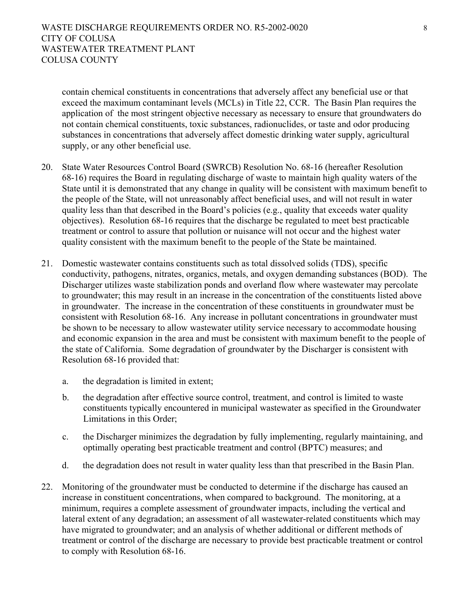contain chemical constituents in concentrations that adversely affect any beneficial use or that exceed the maximum contaminant levels (MCLs) in Title 22, CCR. The Basin Plan requires the application of the most stringent objective necessary as necessary to ensure that groundwaters do not contain chemical constituents, toxic substances, radionuclides, or taste and odor producing substances in concentrations that adversely affect domestic drinking water supply, agricultural supply, or any other beneficial use.

- 20. State Water Resources Control Board (SWRCB) Resolution No. 68-16 (hereafter Resolution 68-16) requires the Board in regulating discharge of waste to maintain high quality waters of the State until it is demonstrated that any change in quality will be consistent with maximum benefit to the people of the State, will not unreasonably affect beneficial uses, and will not result in water quality less than that described in the Board's policies (e.g., quality that exceeds water quality objectives). Resolution 68-16 requires that the discharge be regulated to meet best practicable treatment or control to assure that pollution or nuisance will not occur and the highest water quality consistent with the maximum benefit to the people of the State be maintained.
- 21. Domestic wastewater contains constituents such as total dissolved solids (TDS), specific conductivity, pathogens, nitrates, organics, metals, and oxygen demanding substances (BOD). The Discharger utilizes waste stabilization ponds and overland flow where wastewater may percolate to groundwater; this may result in an increase in the concentration of the constituents listed above in groundwater. The increase in the concentration of these constituents in groundwater must be consistent with Resolution 68-16. Any increase in pollutant concentrations in groundwater must be shown to be necessary to allow wastewater utility service necessary to accommodate housing and economic expansion in the area and must be consistent with maximum benefit to the people of the state of California. Some degradation of groundwater by the Discharger is consistent with Resolution 68-16 provided that:
	- a. the degradation is limited in extent;
	- b. the degradation after effective source control, treatment, and control is limited to waste constituents typically encountered in municipal wastewater as specified in the Groundwater Limitations in this Order;
	- c. the Discharger minimizes the degradation by fully implementing, regularly maintaining, and optimally operating best practicable treatment and control (BPTC) measures; and
	- d. the degradation does not result in water quality less than that prescribed in the Basin Plan.
- 22. Monitoring of the groundwater must be conducted to determine if the discharge has caused an increase in constituent concentrations, when compared to background. The monitoring, at a minimum, requires a complete assessment of groundwater impacts, including the vertical and lateral extent of any degradation; an assessment of all wastewater-related constituents which may have migrated to groundwater; and an analysis of whether additional or different methods of treatment or control of the discharge are necessary to provide best practicable treatment or control to comply with Resolution 68-16.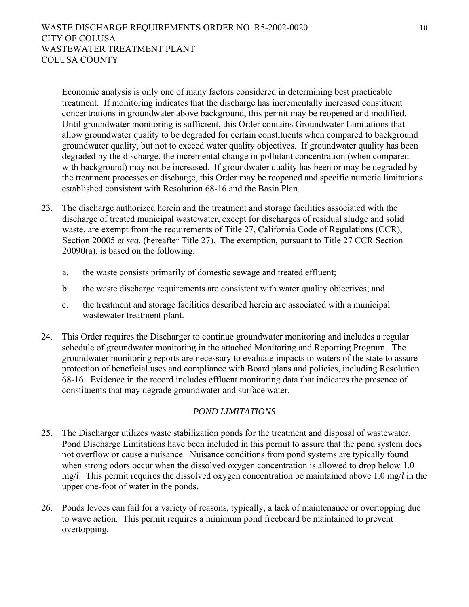Economic analysis is only one of many factors considered in determining best practicable treatment. If monitoring indicates that the discharge has incrementally increased constituent concentrations in groundwater above background, this permit may be reopened and modified. Until groundwater monitoring is sufficient, this Order contains Groundwater Limitations that allow groundwater quality to be degraded for certain constituents when compared to background groundwater quality, but not to exceed water quality objectives. If groundwater quality has been degraded by the discharge, the incremental change in pollutant concentration (when compared with background) may not be increased. If groundwater quality has been or may be degraded by the treatment processes or discharge, this Order may be reopened and specific numeric limitations established consistent with Resolution 68-16 and the Basin Plan.

- 23. The discharge authorized herein and the treatment and storage facilities associated with the discharge of treated municipal wastewater, except for discharges of residual sludge and solid waste, are exempt from the requirements of Title 27, California Code of Regulations (CCR), Section 20005 *et seq*. (hereafter Title 27). The exemption, pursuant to Title 27 CCR Section 20090(a), is based on the following:
	- a. the waste consists primarily of domestic sewage and treated effluent;
	- b. the waste discharge requirements are consistent with water quality objectives; and
	- c. the treatment and storage facilities described herein are associated with a municipal wastewater treatment plant.
- 24. This Order requires the Discharger to continue groundwater monitoring and includes a regular schedule of groundwater monitoring in the attached Monitoring and Reporting Program. The groundwater monitoring reports are necessary to evaluate impacts to waters of the state to assure protection of beneficial uses and compliance with Board plans and policies, including Resolution 68-16. Evidence in the record includes effluent monitoring data that indicates the presence of constituents that may degrade groundwater and surface water.

### *POND LIMITATIONS*

- 25. The Discharger utilizes waste stabilization ponds for the treatment and disposal of wastewater. Pond Discharge Limitations have been included in this permit to assure that the pond system does not overflow or cause a nuisance. Nuisance conditions from pond systems are typically found when strong odors occur when the dissolved oxygen concentration is allowed to drop below 1.0 mg/*l*. This permit requires the dissolved oxygen concentration be maintained above 1.0 mg/*l* in the upper one-foot of water in the ponds.
- 26. Ponds levees can fail for a variety of reasons, typically, a lack of maintenance or overtopping due to wave action. This permit requires a minimum pond freeboard be maintained to prevent overtopping.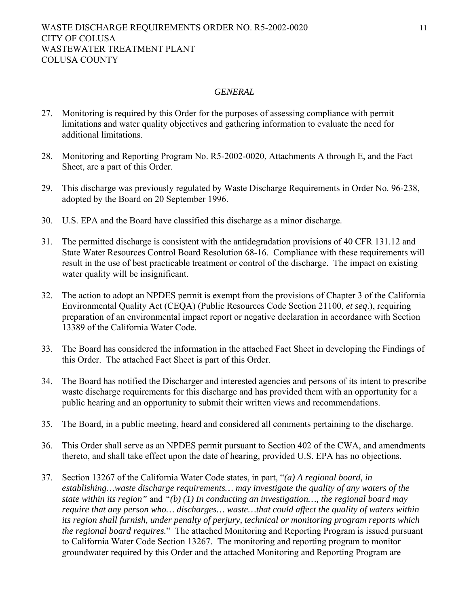#### *GENERAL*

- 27. Monitoring is required by this Order for the purposes of assessing compliance with permit limitations and water quality objectives and gathering information to evaluate the need for additional limitations.
- 28. Monitoring and Reporting Program No. R5-2002-0020, Attachments A through E, and the Fact Sheet, are a part of this Order.
- 29. This discharge was previously regulated by Waste Discharge Requirements in Order No. 96-238, adopted by the Board on 20 September 1996.
- 30. U.S. EPA and the Board have classified this discharge as a minor discharge.
- 31. The permitted discharge is consistent with the antidegradation provisions of 40 CFR 131.12 and State Water Resources Control Board Resolution 68-16. Compliance with these requirements will result in the use of best practicable treatment or control of the discharge. The impact on existing water quality will be insignificant.
- 32. The action to adopt an NPDES permit is exempt from the provisions of Chapter 3 of the California Environmental Quality Act (CEQA) (Public Resources Code Section 21100, *et seq*.), requiring preparation of an environmental impact report or negative declaration in accordance with Section 13389 of the California Water Code.
- 33. The Board has considered the information in the attached Fact Sheet in developing the Findings of this Order. The attached Fact Sheet is part of this Order.
- 34. The Board has notified the Discharger and interested agencies and persons of its intent to prescribe waste discharge requirements for this discharge and has provided them with an opportunity for a public hearing and an opportunity to submit their written views and recommendations.
- 35. The Board, in a public meeting, heard and considered all comments pertaining to the discharge.
- 36. This Order shall serve as an NPDES permit pursuant to Section 402 of the CWA, and amendments thereto, and shall take effect upon the date of hearing, provided U.S. EPA has no objections.
- 37. Section 13267 of the California Water Code states, in part, "*(a) A regional board, in establishing…waste discharge requirements… may investigate the quality of any waters of the state within its region"* and *"(b) (1) In conducting an investigation…, the regional board may require that any person who… discharges… waste…that could affect the quality of waters within its region shall furnish, under penalty of perjury, technical or monitoring program reports which the regional board requires.*"The attached Monitoring and Reporting Program is issued pursuant to California Water Code Section 13267. The monitoring and reporting program to monitor groundwater required by this Order and the attached Monitoring and Reporting Program are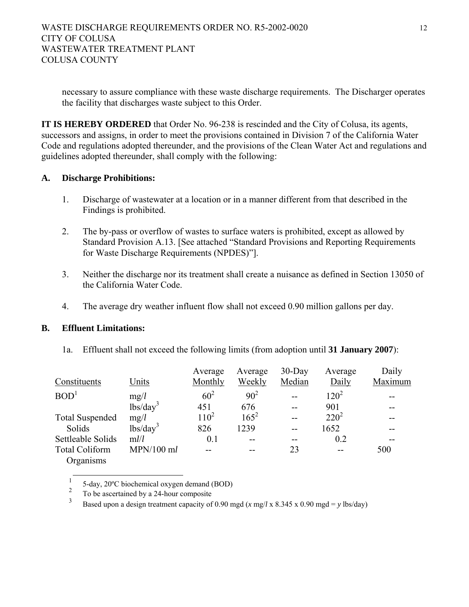necessary to assure compliance with these waste discharge requirements. The Discharger operates the facility that discharges waste subject to this Order.

**IT IS HEREBY ORDERED** that Order No. 96-238 is rescinded and the City of Colusa, its agents, successors and assigns, in order to meet the provisions contained in Division 7 of the California Water Code and regulations adopted thereunder, and the provisions of the Clean Water Act and regulations and guidelines adopted thereunder, shall comply with the following:

# **A. Discharge Prohibitions:**

- 1. Discharge of wastewater at a location or in a manner different from that described in the Findings is prohibited.
- 2. The by-pass or overflow of wastes to surface waters is prohibited, except as allowed by Standard Provision A.13. [See attached "Standard Provisions and Reporting Requirements for Waste Discharge Requirements (NPDES)"].
- 3. Neither the discharge nor its treatment shall create a nuisance as defined in Section 13050 of the California Water Code.
- 4. The average dry weather influent flow shall not exceed 0.90 million gallons per day.

# **B. Effluent Limitations:**

1a. Effluent shall not exceed the following limits (from adoption until **31 January 2007**):

|                        |                                        | Average         | Average  | $30$ -Day | Average | Daily   |
|------------------------|----------------------------------------|-----------------|----------|-----------|---------|---------|
| Constituents           | Units                                  | Monthly         | Weekly   | Median    | Daily   | Maximum |
| BOD <sup>1</sup>       | mg/l                                   | 60 <sup>2</sup> | $90^{2}$ |           | $120^2$ |         |
|                        | $\frac{1}{\text{bs}}\cdot\text{day}^3$ | 451             | 676      |           | 901     |         |
| <b>Total Suspended</b> | mg/l                                   | $110^2$         | $165^2$  |           | $220^2$ |         |
| Solids                 | $\frac{1}{\text{bs}}\cdot\text{day}^3$ | 826             | 1239     | --        | 1652    |         |
| Settleable Solids      | m l/l                                  | 0.1             |          | --        | 0.2     |         |
| <b>Total Coliform</b>  | $MPN/100$ ml                           |                 |          | 23        | --      | 500     |
| Organisms              |                                        |                 |          |           |         |         |

 $\mathbf{1}$ <sup>1</sup> 5-day, 20°C biochemical oxygen demand (BOD)<br><sup>2</sup> To be ascertained by a 24-hour composite<br><sup>3</sup> Besed upon a design treatment conseity of 0.00 m

Based upon a design treatment capacity of 0.90 mgd ( $x$  mg/*l* x 8.345 x 0.90 mgd = *y* lbs/day)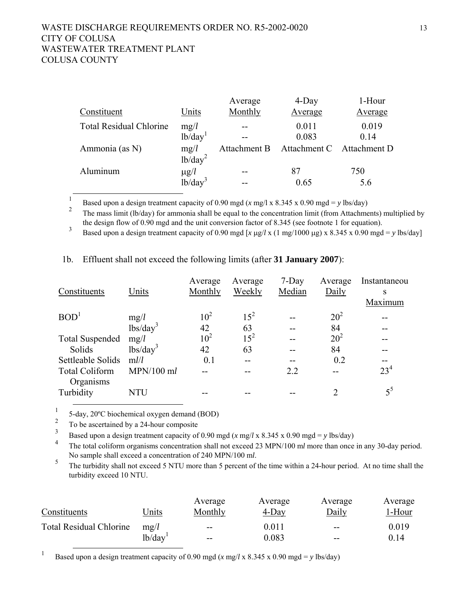|                                |                             | Average      | 4-Day        | 1-Hour       |
|--------------------------------|-----------------------------|--------------|--------------|--------------|
| Constituent                    | Units                       | Monthly      | Average      | Average      |
| <b>Total Residual Chlorine</b> | mg/l                        |              | 0.011        | 0.019        |
|                                | 1b/day <sup>1</sup>         |              | 0.083        | 0.14         |
| Ammonia (as N)                 | mg/l<br>1b/day <sup>2</sup> | Attachment B | Attachment C | Attachment D |
| Aluminum                       | $\mu$ g/l                   |              | 87           | 750          |
|                                | $1b/day^3$                  |              | 0.65         | 5.6          |

 1 Based upon a design treatment capacity of 0.90 mgd (*x* mg/l x 8.345 x 0.90 mgd = *y* lbs/day)

2 The mass limit (lb/day) for ammonia shall be equal to the concentration limit (from Attachments) multiplied by the design flow of 0.90 mgd and the unit conversion factor of 8.345 (see footnote 1 for equation).

3 Based upon a design treatment capacity of 0.90 mgd [*x* μg/*l* x (1 mg/1000 μg) x 8.345 x 0.90 mgd = *y* lbs/day]

|                        |                                      | Average         | Average  | $7-Day$ | Average                     | Instantaneou    |
|------------------------|--------------------------------------|-----------------|----------|---------|-----------------------------|-----------------|
| Constituents           | Units                                | Monthly         | Weekly   | Median  | Daily                       | S               |
|                        |                                      |                 |          |         |                             | Maximum         |
| BOD <sup>1</sup>       | mg/l                                 | 10 <sup>2</sup> | $15^{2}$ |         | 20 <sup>2</sup>             |                 |
|                        | $\overline{\text{lbs}}/\text{day}^3$ | 42              | 63       |         | 84                          |                 |
| <b>Total Suspended</b> | mg/l                                 | 10 <sup>2</sup> | $15^{2}$ |         | $20^{2}$                    |                 |
| Solids                 | $lbs/day^3$                          | 42              | 63       |         | 84                          |                 |
| Settleable Solids      | m l/l                                | 0.1             |          |         | 0.2                         |                 |
| <b>Total Coliform</b>  | $MPN/100$ ml                         |                 |          | 2.2     |                             | 23 <sup>4</sup> |
| Organisms              |                                      |                 |          |         |                             |                 |
| Turbidity              | <b>NTU</b>                           |                 |          |         | $\mathcal{D}_{\mathcal{L}}$ | $5^5$           |
|                        |                                      |                 |          |         |                             |                 |

#### 1b. Effluent shall not exceed the following limits (after **31 January 2007**):

<sup>1</sup> 5-day, 20°C biochemical oxygen demand (BOD)<sup>2</sup> Technology at the second the 24 hours are provided.

 $\frac{2}{3}$  To be ascertained by a 24-hour composite

<sup>3</sup> Based upon a design treatment capacity of 0.90 mgd (*x* mg/*l* x 8.345 x 0.90 mgd = *y* lbs/day)

4 The total coliform organisms concentration shall not exceed 23 MPN/100 m*l* more than once in any 30-day period.

No sample shall exceed a concentration of 240 MPN/100 m*l*.<br><sup>5</sup> The turbidity shall not exceed 5 NTU more than 5 percent of the time within a 24-hour period. At no time shall the turbidity exceed 10 NTU.

| Constituents                   | Jnits               | Average<br>Monthly | Average<br>4-Day | Average<br>Daily  | Average<br>1-Hour |
|--------------------------------|---------------------|--------------------|------------------|-------------------|-------------------|
| <b>Total Residual Chlorine</b> | mg/l                | $-$                | $0.011\,$        | $-$               | 0.019             |
|                                | lb/day <sup>1</sup> | $- -$              | 9.083            | $\qquad \qquad -$ | 0.14              |

<sup>1</sup> Based upon a design treatment capacity of 0.90 mgd (*x* mg/*l* x 8.345 x 0.90 mgd = *y* lbs/day)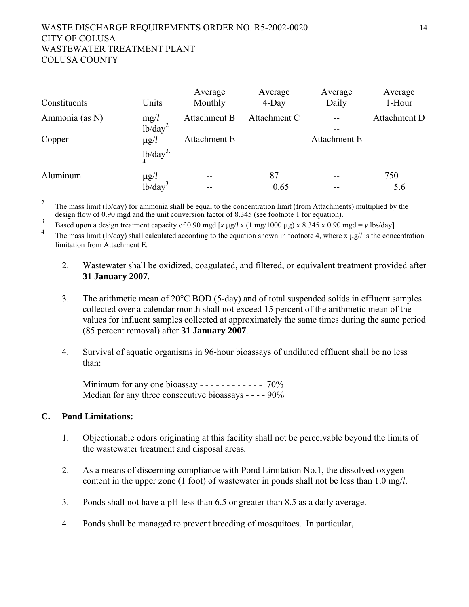### WASTE DISCHARGE REQUIREMENTS ORDER NO. R5-2002-0020 14 CITY OF COLUSA WASTEWATER TREATMENT PLANT COLUSA COUNTY

| Constituents   | Units               | Average<br>Monthly | Average<br>$4$ -Day | Average<br>Daily | Average<br>$1 -$ Hour |
|----------------|---------------------|--------------------|---------------------|------------------|-----------------------|
| Ammonia (as N) | mg/l                | Attachment B       | Attachment C        |                  | Attachment D          |
|                | $1b/day^2$          |                    |                     |                  |                       |
| Copper         | $\mu$ g/ $l$        | Attachment E       |                     | Attachment E     | --                    |
|                | 1b/day <sup>3</sup> |                    |                     |                  |                       |
| Aluminum       | $\mu$ g/ $l$        | $ -$               | 87                  | --               | 750                   |
|                | $1b/day^2$          | $-$                | 0.65                |                  | 5.6                   |

<sup>2</sup> The mass limit (lb/day) for ammonia shall be equal to the concentration limit (from Attachments) multiplied by the design flow of 0.90 mgd and the unit conversion factor of 8.345 (see footnote 1 for equation).

<sup>3</sup> Based upon a design treatment capacity of 0.90 mgd [*x* μg/*l* x (1 mg/1000 μg) x 8.345 x 0.90 mgd = *y* lbs/day]

4 The mass limit (lb/day) shall calculated according to the equation shown in footnote 4, where x μg/*l* is the concentration limitation from Attachment E.

- 2. Wastewater shall be oxidized, coagulated, and filtered, or equivalent treatment provided after **31 January 2007**.
- 3. The arithmetic mean of 20°C BOD (5-day) and of total suspended solids in effluent samples collected over a calendar month shall not exceed 15 percent of the arithmetic mean of the values for influent samples collected at approximately the same times during the same period (85 percent removal) after **31 January 2007**.
- 4. Survival of aquatic organisms in 96-hour bioassays of undiluted effluent shall be no less than:

Minimum for any one bioassay - - - - - - - - - - - - 70% Median for any three consecutive bioassays - - - - 90%

### **C. Pond Limitations:**

- 1. Objectionable odors originating at this facility shall not be perceivable beyond the limits of the wastewater treatment and disposal areas*.*
- 2. As a means of discerning compliance with Pond Limitation No.1, the dissolved oxygen content in the upper zone (1 foot) of wastewater in ponds shall not be less than 1.0 mg/*l*.
- 3. Ponds shall not have a pH less than 6.5 or greater than 8.5 as a daily average.
- 4. Ponds shall be managed to prevent breeding of mosquitoes. In particular,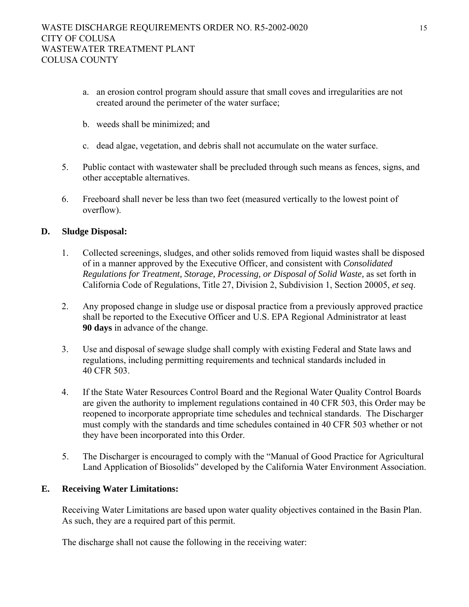- a. an erosion control program should assure that small coves and irregularities are not created around the perimeter of the water surface;
- b. weeds shall be minimized; and
- c. dead algae, vegetation, and debris shall not accumulate on the water surface.
- 5. Public contact with wastewater shall be precluded through such means as fences, signs, and other acceptable alternatives.
- 6. Freeboard shall never be less than two feet (measured vertically to the lowest point of overflow).

# **D. Sludge Disposal:**

- 1. Collected screenings, sludges, and other solids removed from liquid wastes shall be disposed of in a manner approved by the Executive Officer, and consistent with *Consolidated Regulations for Treatment, Storage, Processing, or Disposal of Solid Waste,* as set forth in California Code of Regulations, Title 27, Division 2, Subdivision 1, Section 20005, *et seq*.
- 2. Any proposed change in sludge use or disposal practice from a previously approved practice shall be reported to the Executive Officer and U.S. EPA Regional Administrator at least **90 days** in advance of the change.
- 3. Use and disposal of sewage sludge shall comply with existing Federal and State laws and regulations, including permitting requirements and technical standards included in 40 CFR 503.
- 4. If the State Water Resources Control Board and the Regional Water Quality Control Boards are given the authority to implement regulations contained in 40 CFR 503, this Order may be reopened to incorporate appropriate time schedules and technical standards. The Discharger must comply with the standards and time schedules contained in 40 CFR 503 whether or not they have been incorporated into this Order.
- 5. The Discharger is encouraged to comply with the "Manual of Good Practice for Agricultural Land Application of Biosolids" developed by the California Water Environment Association.

# **E. Receiving Water Limitations:**

Receiving Water Limitations are based upon water quality objectives contained in the Basin Plan. As such, they are a required part of this permit.

The discharge shall not cause the following in the receiving water: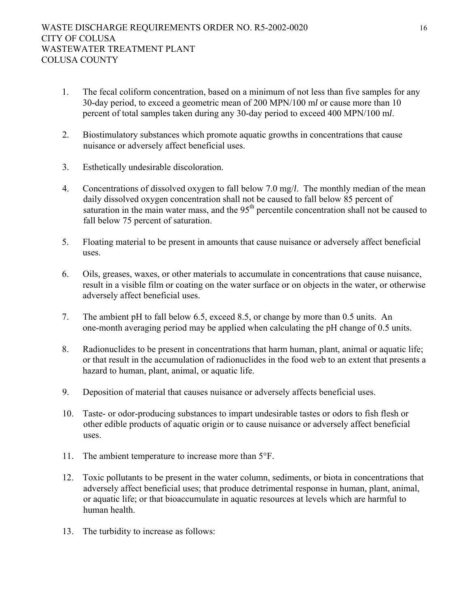- 1. The fecal coliform concentration, based on a minimum of not less than five samples for any 30-day period, to exceed a geometric mean of 200 MPN/100 m*l* or cause more than 10 percent of total samples taken during any 30-day period to exceed 400 MPN/100 m*l*.
- 2. Biostimulatory substances which promote aquatic growths in concentrations that cause nuisance or adversely affect beneficial uses.
- 3. Esthetically undesirable discoloration.
- 4. Concentrations of dissolved oxygen to fall below 7.0 mg/*l*. The monthly median of the mean daily dissolved oxygen concentration shall not be caused to fall below 85 percent of saturation in the main water mass, and the 95<sup>th</sup> percentile concentration shall not be caused to fall below 75 percent of saturation.
- 5. Floating material to be present in amounts that cause nuisance or adversely affect beneficial uses.
- 6. Oils, greases, waxes, or other materials to accumulate in concentrations that cause nuisance, result in a visible film or coating on the water surface or on objects in the water, or otherwise adversely affect beneficial uses.
- 7. The ambient pH to fall below 6.5, exceed 8.5, or change by more than 0.5 units. An one-month averaging period may be applied when calculating the pH change of 0.5 units.
- 8. Radionuclides to be present in concentrations that harm human, plant, animal or aquatic life; or that result in the accumulation of radionuclides in the food web to an extent that presents a hazard to human, plant, animal, or aquatic life.
- 9. Deposition of material that causes nuisance or adversely affects beneficial uses.
- 10. Taste- or odor-producing substances to impart undesirable tastes or odors to fish flesh or other edible products of aquatic origin or to cause nuisance or adversely affect beneficial uses.
- 11. The ambient temperature to increase more than 5°F.
- 12. Toxic pollutants to be present in the water column, sediments, or biota in concentrations that adversely affect beneficial uses; that produce detrimental response in human, plant, animal, or aquatic life; or that bioaccumulate in aquatic resources at levels which are harmful to human health.
- 13. The turbidity to increase as follows: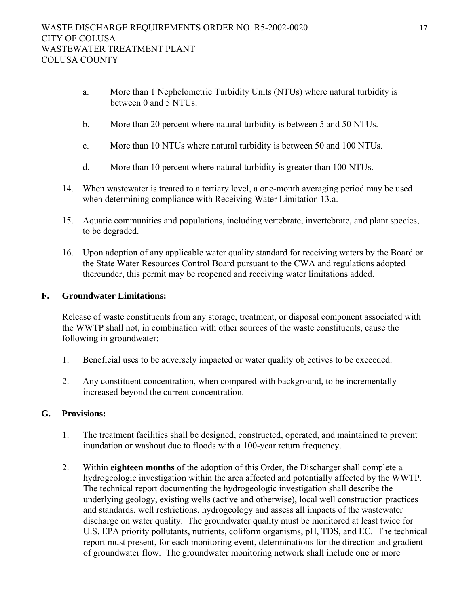- a. More than 1 Nephelometric Turbidity Units (NTUs) where natural turbidity is between 0 and 5 NTUs.
- b. More than 20 percent where natural turbidity is between 5 and 50 NTUs.
- c. More than 10 NTUs where natural turbidity is between 50 and 100 NTUs.
- d. More than 10 percent where natural turbidity is greater than 100 NTUs.
- 14. When wastewater is treated to a tertiary level, a one-month averaging period may be used when determining compliance with Receiving Water Limitation 13.a.
- 15. Aquatic communities and populations, including vertebrate, invertebrate, and plant species, to be degraded.
- 16. Upon adoption of any applicable water quality standard for receiving waters by the Board or the State Water Resources Control Board pursuant to the CWA and regulations adopted thereunder, this permit may be reopened and receiving water limitations added.

# **F. Groundwater Limitations:**

Release of waste constituents from any storage, treatment, or disposal component associated with the WWTP shall not, in combination with other sources of the waste constituents, cause the following in groundwater:

- 1. Beneficial uses to be adversely impacted or water quality objectives to be exceeded.
- 2. Any constituent concentration, when compared with background, to be incrementally increased beyond the current concentration.

# **G. Provisions:**

- 1. The treatment facilities shall be designed, constructed, operated, and maintained to prevent inundation or washout due to floods with a 100-year return frequency.
- 2. Within **eighteen months** of the adoption of this Order, the Discharger shall complete a hydrogeologic investigation within the area affected and potentially affected by the WWTP. The technical report documenting the hydrogeologic investigation shall describe the underlying geology, existing wells (active and otherwise), local well construction practices and standards, well restrictions, hydrogeology and assess all impacts of the wastewater discharge on water quality. The groundwater quality must be monitored at least twice for U.S. EPA priority pollutants, nutrients, coliform organisms, pH, TDS, and EC. The technical report must present, for each monitoring event, determinations for the direction and gradient of groundwater flow. The groundwater monitoring network shall include one or more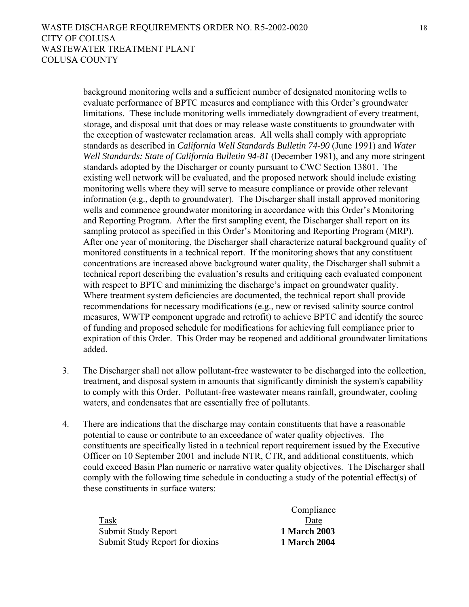background monitoring wells and a sufficient number of designated monitoring wells to evaluate performance of BPTC measures and compliance with this Order's groundwater limitations. These include monitoring wells immediately downgradient of every treatment, storage, and disposal unit that does or may release waste constituents to groundwater with the exception of wastewater reclamation areas. All wells shall comply with appropriate standards as described in *California Well Standards Bulletin 74-90* (June 1991) and *Water Well Standards: State of California Bulletin 94-81* (December 1981), and any more stringent standards adopted by the Discharger or county pursuant to CWC Section 13801. The existing well network will be evaluated, and the proposed network should include existing monitoring wells where they will serve to measure compliance or provide other relevant information (e.g., depth to groundwater). The Discharger shall install approved monitoring wells and commence groundwater monitoring in accordance with this Order's Monitoring and Reporting Program. After the first sampling event, the Discharger shall report on its sampling protocol as specified in this Order's Monitoring and Reporting Program (MRP). After one year of monitoring, the Discharger shall characterize natural background quality of monitored constituents in a technical report. If the monitoring shows that any constituent concentrations are increased above background water quality, the Discharger shall submit a technical report describing the evaluation's results and critiquing each evaluated component with respect to BPTC and minimizing the discharge's impact on groundwater quality. Where treatment system deficiencies are documented, the technical report shall provide recommendations for necessary modifications (e.g., new or revised salinity source control measures, WWTP component upgrade and retrofit) to achieve BPTC and identify the source of funding and proposed schedule for modifications for achieving full compliance prior to expiration of this Order. This Order may be reopened and additional groundwater limitations added.

- 3. The Discharger shall not allow pollutant-free wastewater to be discharged into the collection, treatment, and disposal system in amounts that significantly diminish the system's capability to comply with this Order. Pollutant-free wastewater means rainfall, groundwater, cooling waters, and condensates that are essentially free of pollutants.
- 4. There are indications that the discharge may contain constituents that have a reasonable potential to cause or contribute to an exceedance of water quality objectives. The constituents are specifically listed in a technical report requirement issued by the Executive Officer on 10 September 2001 and include NTR, CTR, and additional constituents, which could exceed Basin Plan numeric or narrative water quality objectives. The Discharger shall comply with the following time schedule in conducting a study of the potential effect(s) of these constituents in surface waters:

Task Submit Study Report **1 March 2003**  Submit Study Report for dioxins **1 March 2004** 

Compliance Date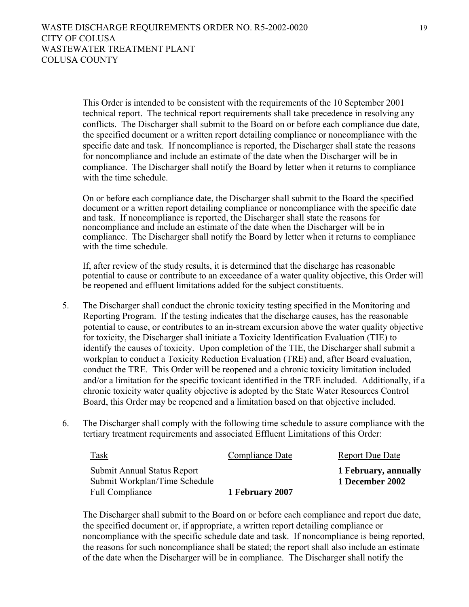This Order is intended to be consistent with the requirements of the 10 September 2001 technical report. The technical report requirements shall take precedence in resolving any conflicts. The Discharger shall submit to the Board on or before each compliance due date, the specified document or a written report detailing compliance or noncompliance with the specific date and task. If noncompliance is reported, the Discharger shall state the reasons for noncompliance and include an estimate of the date when the Discharger will be in compliance. The Discharger shall notify the Board by letter when it returns to compliance with the time schedule.

On or before each compliance date, the Discharger shall submit to the Board the specified document or a written report detailing compliance or noncompliance with the specific date and task. If noncompliance is reported, the Discharger shall state the reasons for noncompliance and include an estimate of the date when the Discharger will be in compliance. The Discharger shall notify the Board by letter when it returns to compliance with the time schedule.

If, after review of the study results, it is determined that the discharge has reasonable potential to cause or contribute to an exceedance of a water quality objective, this Order will be reopened and effluent limitations added for the subject constituents.

- 5. The Discharger shall conduct the chronic toxicity testing specified in the Monitoring and Reporting Program. If the testing indicates that the discharge causes, has the reasonable potential to cause, or contributes to an in-stream excursion above the water quality objective for toxicity, the Discharger shall initiate a Toxicity Identification Evaluation (TIE) to identify the causes of toxicity. Upon completion of the TIE, the Discharger shall submit a workplan to conduct a Toxicity Reduction Evaluation (TRE) and, after Board evaluation, conduct the TRE. This Order will be reopened and a chronic toxicity limitation included and/or a limitation for the specific toxicant identified in the TRE included. Additionally, if a chronic toxicity water quality objective is adopted by the State Water Resources Control Board, this Order may be reopened and a limitation based on that objective included.
- 6. The Discharger shall comply with the following time schedule to assure compliance with the tertiary treatment requirements and associated Effluent Limitations of this Order:

| <b>Task</b>                   | Compliance Date | <b>Report Due Date</b> |
|-------------------------------|-----------------|------------------------|
| Submit Annual Status Report   |                 | 1 February, annually   |
| Submit Workplan/Time Schedule |                 | 1 December 2002        |
| Full Compliance               | 1 February 2007 |                        |

The Discharger shall submit to the Board on or before each compliance and report due date, the specified document or, if appropriate, a written report detailing compliance or noncompliance with the specific schedule date and task. If noncompliance is being reported, the reasons for such noncompliance shall be stated; the report shall also include an estimate of the date when the Discharger will be in compliance. The Discharger shall notify the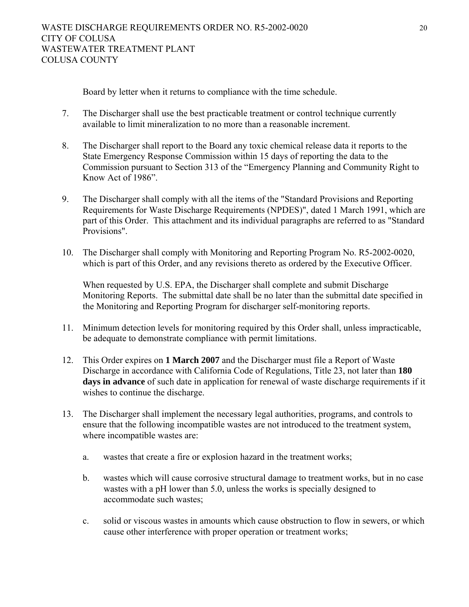Board by letter when it returns to compliance with the time schedule.

- 7. The Discharger shall use the best practicable treatment or control technique currently available to limit mineralization to no more than a reasonable increment.
- 8. The Discharger shall report to the Board any toxic chemical release data it reports to the State Emergency Response Commission within 15 days of reporting the data to the Commission pursuant to Section 313 of the "Emergency Planning and Community Right to Know Act of 1986".
- 9. The Discharger shall comply with all the items of the "Standard Provisions and Reporting Requirements for Waste Discharge Requirements (NPDES)", dated 1 March 1991, which are part of this Order. This attachment and its individual paragraphs are referred to as "Standard Provisions".
- 10. The Discharger shall comply with Monitoring and Reporting Program No. R5-2002-0020, which is part of this Order, and any revisions thereto as ordered by the Executive Officer.

When requested by U.S. EPA, the Discharger shall complete and submit Discharge Monitoring Reports. The submittal date shall be no later than the submittal date specified in the Monitoring and Reporting Program for discharger self-monitoring reports.

- 11. Minimum detection levels for monitoring required by this Order shall, unless impracticable, be adequate to demonstrate compliance with permit limitations.
- 12. This Order expires on **1 March 2007** and the Discharger must file a Report of Waste Discharge in accordance with California Code of Regulations, Title 23, not later than **180 days in advance** of such date in application for renewal of waste discharge requirements if it wishes to continue the discharge.
- 13. The Discharger shall implement the necessary legal authorities, programs, and controls to ensure that the following incompatible wastes are not introduced to the treatment system, where incompatible wastes are:
	- a. wastes that create a fire or explosion hazard in the treatment works;
	- b. wastes which will cause corrosive structural damage to treatment works, but in no case wastes with a pH lower than 5.0, unless the works is specially designed to accommodate such wastes;
	- c. solid or viscous wastes in amounts which cause obstruction to flow in sewers, or which cause other interference with proper operation or treatment works;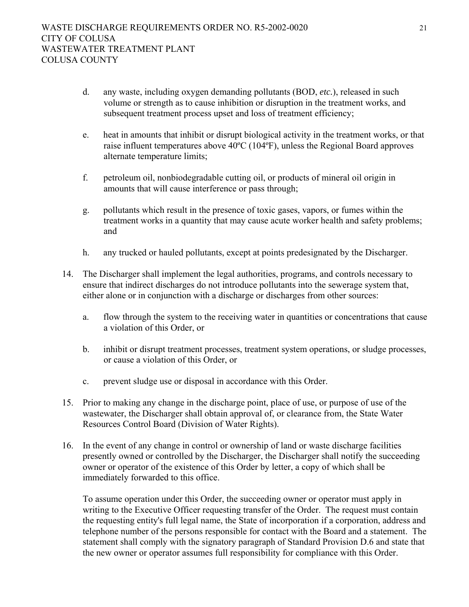- d. any waste, including oxygen demanding pollutants (BOD, *etc.*), released in such volume or strength as to cause inhibition or disruption in the treatment works, and subsequent treatment process upset and loss of treatment efficiency;
- e. heat in amounts that inhibit or disrupt biological activity in the treatment works, or that raise influent temperatures above 40ºC (104ºF), unless the Regional Board approves alternate temperature limits;
- f. petroleum oil, nonbiodegradable cutting oil, or products of mineral oil origin in amounts that will cause interference or pass through;
- g. pollutants which result in the presence of toxic gases, vapors, or fumes within the treatment works in a quantity that may cause acute worker health and safety problems; and
- h. any trucked or hauled pollutants, except at points predesignated by the Discharger.
- 14. The Discharger shall implement the legal authorities, programs, and controls necessary to ensure that indirect discharges do not introduce pollutants into the sewerage system that, either alone or in conjunction with a discharge or discharges from other sources:
	- a. flow through the system to the receiving water in quantities or concentrations that cause a violation of this Order, or
	- b. inhibit or disrupt treatment processes, treatment system operations, or sludge processes, or cause a violation of this Order, or
	- c. prevent sludge use or disposal in accordance with this Order.
- 15. Prior to making any change in the discharge point, place of use, or purpose of use of the wastewater, the Discharger shall obtain approval of, or clearance from, the State Water Resources Control Board (Division of Water Rights).
- 16. In the event of any change in control or ownership of land or waste discharge facilities presently owned or controlled by the Discharger, the Discharger shall notify the succeeding owner or operator of the existence of this Order by letter, a copy of which shall be immediately forwarded to this office.

To assume operation under this Order, the succeeding owner or operator must apply in writing to the Executive Officer requesting transfer of the Order. The request must contain the requesting entity's full legal name, the State of incorporation if a corporation, address and telephone number of the persons responsible for contact with the Board and a statement. The statement shall comply with the signatory paragraph of Standard Provision D.6 and state that the new owner or operator assumes full responsibility for compliance with this Order.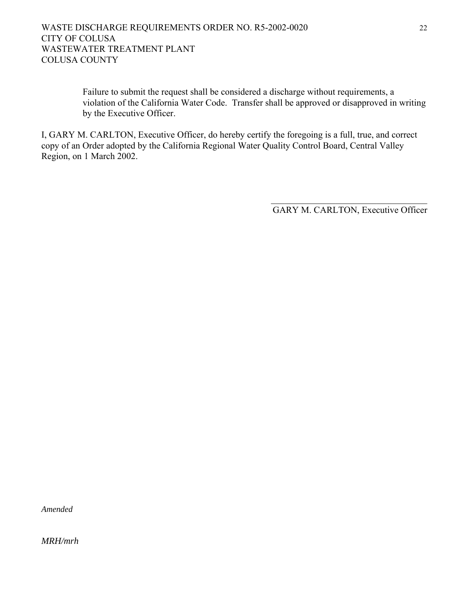## WASTE DISCHARGE REQUIREMENTS ORDER NO. R5-2002-0020 22 CITY OF COLUSA WASTEWATER TREATMENT PLANT COLUSA COUNTY

Failure to submit the request shall be considered a discharge without requirements, a violation of the California Water Code. Transfer shall be approved or disapproved in writing by the Executive Officer.

I, GARY M. CARLTON, Executive Officer, do hereby certify the foregoing is a full, true, and correct copy of an Order adopted by the California Regional Water Quality Control Board, Central Valley Region, on 1 March 2002.

 $\mathcal{L}_\text{max}$  and  $\mathcal{L}_\text{max}$  and  $\mathcal{L}_\text{max}$  and  $\mathcal{L}_\text{max}$  and  $\mathcal{L}_\text{max}$  and  $\mathcal{L}_\text{max}$ 

GARY M. CARLTON, Executive Officer

*Amended* 

*MRH/mrh*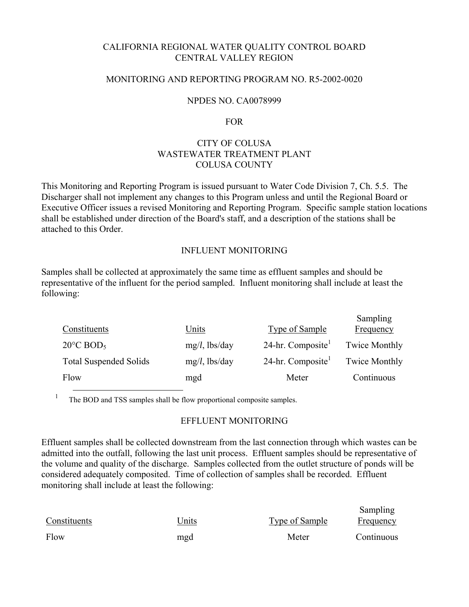# CALIFORNIA REGIONAL WATER QUALITY CONTROL BOARD CENTRAL VALLEY REGION

## MONITORING AND REPORTING PROGRAM NO. R5-2002-0020

### NPDES NO. CA0078999

#### FOR

# CITY OF COLUSA WASTEWATER TREATMENT PLANT COLUSA COUNTY

This Monitoring and Reporting Program is issued pursuant to Water Code Division 7, Ch. 5.5. The Discharger shall not implement any changes to this Program unless and until the Regional Board or Executive Officer issues a revised Monitoring and Reporting Program. Specific sample station locations shall be established under direction of the Board's staff, and a description of the stations shall be attached to this Order.

#### INFLUENT MONITORING

Samples shall be collected at approximately the same time as effluent samples and should be representative of the influent for the period sampled. Influent monitoring shall include at least the following:

| Constituents                    | Units            | Type of Sample      | $S$ allipting<br>Frequency |
|---------------------------------|------------------|---------------------|----------------------------|
| $20^{\circ}$ C BOD <sub>5</sub> | $mg/l$ , lbs/day | 24-hr. Composite    | <b>Twice Monthly</b>       |
| <b>Total Suspended Solids</b>   | $mg/l$ , lbs/day | $24$ -hr. Composite | <b>Twice Monthly</b>       |
| Flow                            | mgd              | Meter               | Continuous                 |

 $S = \dots = 1$ 

1 The BOD and TSS samples shall be flow proportional composite samples.

#### EFFLUENT MONITORING

Effluent samples shall be collected downstream from the last connection through which wastes can be admitted into the outfall, following the last unit process. Effluent samples should be representative of the volume and quality of the discharge. Samples collected from the outlet structure of ponds will be considered adequately composited. Time of collection of samples shall be recorded. Effluent monitoring shall include at least the following:

|              |              |                | Sampling   |
|--------------|--------------|----------------|------------|
| Constituents | <b>Jnits</b> | Type of Sample | Frequency  |
| Flow         | mgd          | Meter          | Continuous |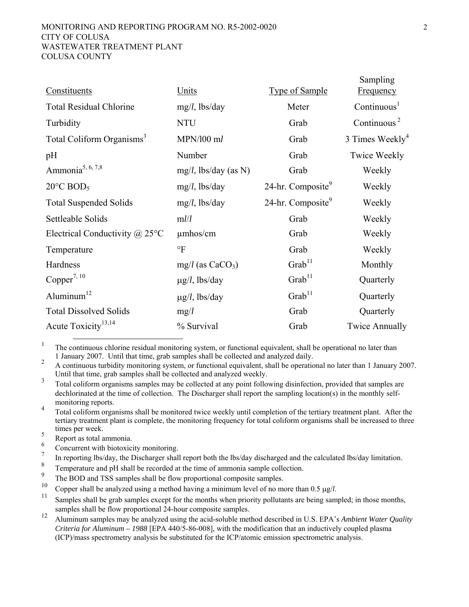#### MONITORING AND REPORTING PROGRAM NO. R5-2002-0020 2 CITY OF COLUSA WASTEWATER TREATMENT PLANT COLUSA COUNTY

| Units                   | <b>Type of Sample</b>         | Sampling<br><b>Frequency</b>         |
|-------------------------|-------------------------------|--------------------------------------|
| $mg/l$ , lbs/day        | Meter                         | Continuous <sup>1</sup>              |
| <b>NTU</b>              | Grab                          | Continuous <sup><math>2</math></sup> |
| MPN/100 ml              | Grab                          | 3 Times Weekly <sup>4</sup>          |
| Number                  | Grab                          | <b>Twice Weekly</b>                  |
| $mg/l$ , lbs/day (as N) | Grab                          | Weekly                               |
| $mg/l$ , lbs/day        | 24-hr. Composite              | Weekly                               |
| $mg/l$ , lbs/day        | 24-hr. Composite <sup>9</sup> | Weekly                               |
| mlll                    | Grab                          | Weekly                               |
| $\mu$ mhos/cm           | Grab                          | Weekly                               |
| $\mathrm{P}$            | Grab                          | Weekly                               |
| $mg/l$ (as $CaCO3$ )    | $G$ rab <sup>11</sup>         | Monthly                              |
| $\mu$ g/l, lbs/day      | $G$ rab <sup>11</sup>         | Quarterly                            |
| $\mu$ g/l, lbs/day      | $\text{Grab}^{11}$            | Quarterly                            |
| mg/l                    | Grab                          | Quarterly                            |
| % Survival              | Grab                          | <b>Twice Annually</b>                |
|                         |                               |                                      |

<sup>1</sup> The continuous chlorine residual monitoring system, or functional equivalent, shall be operational no later than

1 January 2007. Until that time, grab samples shall be collected and analyzed daily. 2 A continuous turbidity monitoring system, or functional equivalent, shall be operational no later than 1 January 2007. Until that time, grab samples shall be collected and analyzed weekly.

3 Total coliform organisms samples may be collected at any point following disinfection, provided that samples are dechlorinated at the time of collection. The Discharger shall report the sampling location(s) in the monthly self-

monitoring reports.<br><sup>4</sup> Total coliform organisms shall be monitored twice weekly until completion of the tertiary treatment plant. After the tertiary treatment plant is complete, the monitoring frequency for total coliform organisms shall be increased to three times per week.<br>
Report as total ammonia.<br>
Concurrent with biotoxicity monitoring.<br>
7

- 
- 
- 7 In reporting lbs/day, the Discharger shall report both the lbs/day discharged and the calculated lbs/day limitation.
- 8  $\frac{8}{9}$  Temperature and pH shall be recorded at the time of ammonia sample collection.
- <sup>9</sup> The BOD and TSS samples shall be flow proportional composite samples.<br> $\frac{10}{2}$  Compared all be excluded with a speaked begins a minimum land of magnetic
- 
- <sup>10</sup> Copper shall be analyzed using a method having a minimum level of no more than 0.5  $\mu g/l$ .<br><sup>11</sup> Samples shall be grab samples except for the months when priority pollutants are being sampled; in those months, samples shall be flow proportional 24-hour composite samples.
- 12 Aluminum samples may be analyzed using the acid-soluble method described in U.S. EPA's *Ambient Water Quality Criteria for Aluminum – 1988* [EPA 440/5-86-008], with the modification that an inductively coupled plasma (ICP)/mass spectrometry analysis be substituted for the ICP/atomic emission spectrometric analysis.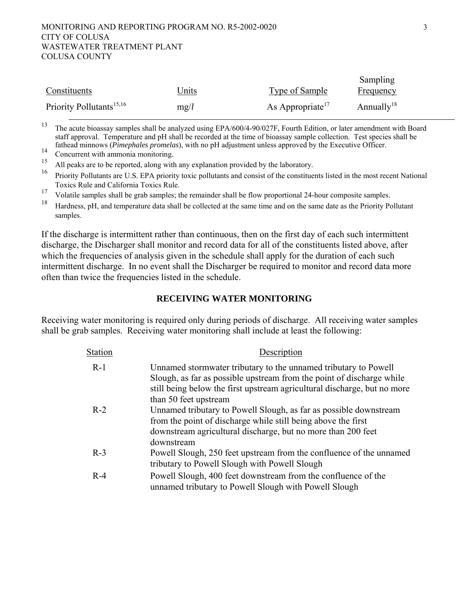#### MONITORING AND REPORTING PROGRAM NO. R5-2002-0020 3 CITY OF COLUSA WASTEWATER TREATMENT PLANT COLUSA COUNTY

|                                      |               |                              | Sampling               |
|--------------------------------------|---------------|------------------------------|------------------------|
| Constituents                         | <u> Jnits</u> | Type of Sample               | <u>Frequency</u>       |
| Priority Pollutants <sup>15,16</sup> | mg/l          | As Appropriate <sup>17</sup> | Annually <sup>18</sup> |

<sup>13</sup> The acute bioassay samples shall be analyzed using EPA/600/4-90/027F, Fourth Edition, or later amendment with Board staff approval. Temperature and pH shall be recorded at the time of bioassay sample collection. Test species shall be fathead minnows (*Pimephales promelas*), with no pH adjustment unless approved by the Executive Officer.<br><sup>14</sup> Concurrent with ammonia monitoring.<br><sup>15</sup> All peaks are to be amented along with any ambustion provided by the la

All peaks are to be reported, along with any explanation provided by the laboratory.

16 Priority Pollutants are U.S. EPA priority toxic pollutants and consist of the constituents listed in the most recent National Toxics Rule and California Toxics Rule.

<sup>17</sup> Volatile samples shall be grab samples; the remainder shall be flow proportional 24-hour composite samples.

<sup>18</sup> Hardness, pH, and temperature data shall be collected at the same time and on the same date as the Priority Pollutant samples.

If the discharge is intermittent rather than continuous, then on the first day of each such intermittent discharge, the Discharger shall monitor and record data for all of the constituents listed above, after which the frequencies of analysis given in the schedule shall apply for the duration of each such intermittent discharge. In no event shall the Discharger be required to monitor and record data more often than twice the frequencies listed in the schedule.

# **RECEIVING WATER MONITORING**

Receiving water monitoring is required only during periods of discharge. All receiving water samples shall be grab samples. Receiving water monitoring shall include at least the following:

| <b>Station</b> | Description                                                                                                                                                                                                                                   |
|----------------|-----------------------------------------------------------------------------------------------------------------------------------------------------------------------------------------------------------------------------------------------|
| $R-1$          | Unnamed stormwater tributary to the unnamed tributary to Powell<br>Slough, as far as possible upstream from the point of discharge while<br>still being below the first upstream agricultural discharge, but no more<br>than 50 feet upstream |
| $R-2$          | Unnamed tributary to Powell Slough, as far as possible downstream<br>from the point of discharge while still being above the first<br>downstream agricultural discharge, but no more than 200 feet<br>downstream                              |
| $R-3$          | Powell Slough, 250 feet upstream from the confluence of the unnamed<br>tributary to Powell Slough with Powell Slough                                                                                                                          |
| $R-4$          | Powell Slough, 400 feet downstream from the confluence of the<br>unnamed tributary to Powell Slough with Powell Slough                                                                                                                        |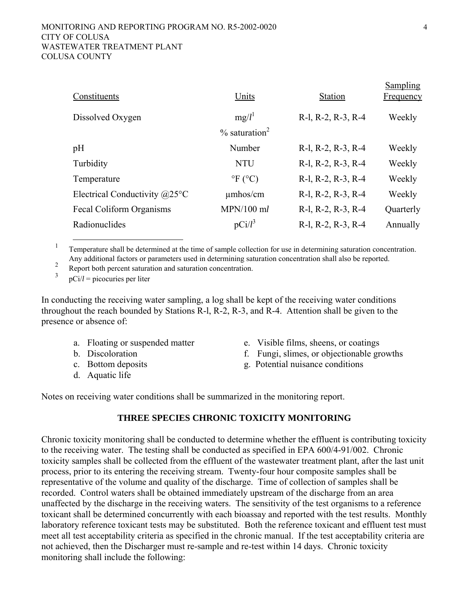| Constituents                            | Units                        | <b>Station</b>     | Sampling<br><b>Frequency</b> |
|-----------------------------------------|------------------------------|--------------------|------------------------------|
| Dissolved Oxygen                        | $mg/l^1$                     | R-l, R-2, R-3, R-4 | Weekly                       |
|                                         | $\%$ saturation <sup>2</sup> |                    |                              |
| pH                                      | Number                       | R-l, R-2, R-3, R-4 | Weekly                       |
| Turbidity                               | <b>NTU</b>                   | R-l, R-2, R-3, R-4 | Weekly                       |
| Temperature                             | $\mathrm{P}F(C)$             | R-l, R-2, R-3, R-4 | Weekly                       |
| Electrical Conductivity $@25^{\circ}$ C | $\mu$ mhos/cm                | R-l, R-2, R-3, R-4 | Weekly                       |
| Fecal Coliform Organisms                | $MPN/100$ ml                 | R-l, R-2, R-3, R-4 | Quarterly                    |
| Radionuclides                           | $pCi/l^3$                    | R-l, R-2, R-3, R-4 | Annually                     |
|                                         |                              |                    |                              |

 $1 \quad$ <sup>1</sup> Temperature shall be determined at the time of sample collection for use in determining saturation concentration. Any additional factors or parameters used in determining saturation concentration shall also be reported.

Report both percent saturation and saturation concentration.

3 pCi/*l* = picocuries per liter

In conducting the receiving water sampling, a log shall be kept of the receiving water conditions throughout the reach bounded by Stations R-l, R-2, R-3, and R-4. Attention shall be given to the presence or absence of:

- 
- 
- 
- d. Aquatic life
- a. Floating or suspended matter e. Visible films, sheens, or coatings
- b. Discoloration f. Fungi, slimes, or objectionable growths
- c. Bottom deposits g. Potential nuisance conditions

Notes on receiving water conditions shall be summarized in the monitoring report.

## **THREE SPECIES CHRONIC TOXICITY MONITORING**

Chronic toxicity monitoring shall be conducted to determine whether the effluent is contributing toxicity to the receiving water. The testing shall be conducted as specified in EPA 600/4-91/002. Chronic toxicity samples shall be collected from the effluent of the wastewater treatment plant, after the last unit process, prior to its entering the receiving stream. Twenty-four hour composite samples shall be representative of the volume and quality of the discharge. Time of collection of samples shall be recorded. Control waters shall be obtained immediately upstream of the discharge from an area unaffected by the discharge in the receiving waters. The sensitivity of the test organisms to a reference toxicant shall be determined concurrently with each bioassay and reported with the test results. Monthly laboratory reference toxicant tests may be substituted. Both the reference toxicant and effluent test must meet all test acceptability criteria as specified in the chronic manual. If the test acceptability criteria are not achieved, then the Discharger must re-sample and re-test within 14 days. Chronic toxicity monitoring shall include the following: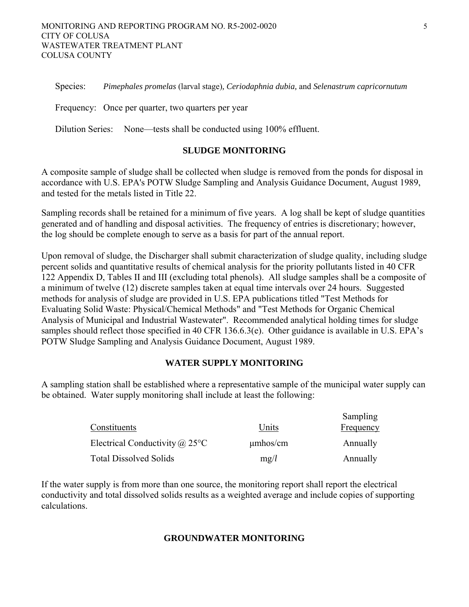Species: *Pimephales promelas* (larval stage)*, Ceriodaphnia dubia,* and *Selenastrum capricornutum*

Frequency: Once per quarter, two quarters per year

Dilution Series: None—tests shall be conducted using 100% effluent.

#### **SLUDGE MONITORING**

A composite sample of sludge shall be collected when sludge is removed from the ponds for disposal in accordance with U.S. EPA's POTW Sludge Sampling and Analysis Guidance Document, August 1989, and tested for the metals listed in Title 22.

Sampling records shall be retained for a minimum of five years. A log shall be kept of sludge quantities generated and of handling and disposal activities. The frequency of entries is discretionary; however, the log should be complete enough to serve as a basis for part of the annual report.

Upon removal of sludge, the Discharger shall submit characterization of sludge quality, including sludge percent solids and quantitative results of chemical analysis for the priority pollutants listed in 40 CFR 122 Appendix D, Tables II and III (excluding total phenols). All sludge samples shall be a composite of a minimum of twelve (12) discrete samples taken at equal time intervals over 24 hours. Suggested methods for analysis of sludge are provided in U.S. EPA publications titled "Test Methods for Evaluating Solid Waste: Physical/Chemical Methods" and "Test Methods for Organic Chemical Analysis of Municipal and Industrial Wastewater". Recommended analytical holding times for sludge samples should reflect those specified in 40 CFR 136.6.3(e). Other guidance is available in U.S. EPA's POTW Sludge Sampling and Analysis Guidance Document, August 1989.

# **WATER SUPPLY MONITORING**

A sampling station shall be established where a representative sample of the municipal water supply can be obtained. Water supply monitoring shall include at least the following:

| Constituents                          | Units         | Sampling<br>Frequency |
|---------------------------------------|---------------|-----------------------|
| Electrical Conductivity $\omega$ 25°C | $\mu$ mhos/cm | Annually              |
| <b>Total Dissolved Solids</b>         | mg/l          | Annually              |

If the water supply is from more than one source, the monitoring report shall report the electrical conductivity and total dissolved solids results as a weighted average and include copies of supporting calculations.

#### **GROUNDWATER MONITORING**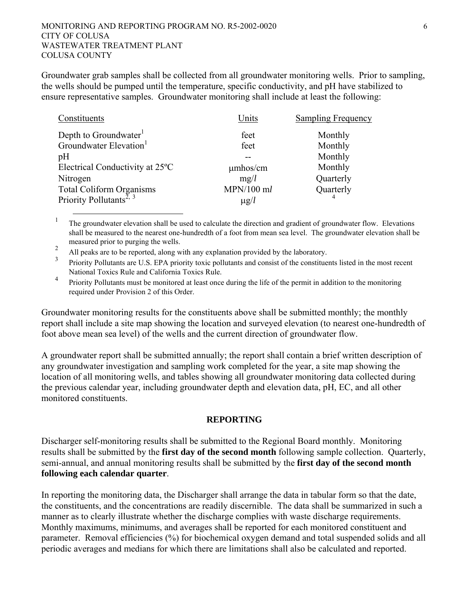Groundwater grab samples shall be collected from all groundwater monitoring wells. Prior to sampling, the wells should be pumped until the temperature, specific conductivity, and pH have stabilized to ensure representative samples. Groundwater monitoring shall include at least the following:

| Constituents                                                    | Units         | <b>Sampling Frequency</b> |
|-----------------------------------------------------------------|---------------|---------------------------|
| Depth to Groundwater <sup>1</sup>                               | feet          | Monthly                   |
| Groundwater Elevation <sup>1</sup>                              | feet          | Monthly                   |
| pH                                                              |               | Monthly                   |
| Electrical Conductivity at 25 <sup>o</sup> C                    | $\mu$ mhos/cm | Monthly                   |
| Nitrogen                                                        | mg/l          | Quarterly                 |
| Total Coliform Organisms<br>Priority Pollutants <sup>2, 3</sup> | $MPN/100$ ml  | Quarterly                 |
|                                                                 | $\mu$ g/l     |                           |

 1 The groundwater elevation shall be used to calculate the direction and gradient of groundwater flow. Elevations shall be measured to the nearest one-hundredth of a foot from mean sea level. The groundwater elevation shall be measured prior to purging the wells.

 $\mathfrak{D}$ All peaks are to be reported, along with any explanation provided by the laboratory.

3 Priority Pollutants are U.S. EPA priority toxic pollutants and consist of the constituents listed in the most recent National Toxics Rule and California Toxics Rule.

4 Priority Pollutants must be monitored at least once during the life of the permit in addition to the monitoring required under Provision 2 of this Order.

Groundwater monitoring results for the constituents above shall be submitted monthly; the monthly report shall include a site map showing the location and surveyed elevation (to nearest one-hundredth of foot above mean sea level) of the wells and the current direction of groundwater flow.

A groundwater report shall be submitted annually; the report shall contain a brief written description of any groundwater investigation and sampling work completed for the year, a site map showing the location of all monitoring wells, and tables showing all groundwater monitoring data collected during the previous calendar year, including groundwater depth and elevation data, pH, EC, and all other monitored constituents.

### **REPORTING**

Discharger self-monitoring results shall be submitted to the Regional Board monthly. Monitoring results shall be submitted by the **first day of the second month** following sample collection. Quarterly, semi-annual, and annual monitoring results shall be submitted by the **first day of the second month following each calendar quarter**.

In reporting the monitoring data, the Discharger shall arrange the data in tabular form so that the date, the constituents, and the concentrations are readily discernible. The data shall be summarized in such a manner as to clearly illustrate whether the discharge complies with waste discharge requirements. Monthly maximums, minimums, and averages shall be reported for each monitored constituent and parameter. Removal efficiencies (%) for biochemical oxygen demand and total suspended solids and all periodic averages and medians for which there are limitations shall also be calculated and reported.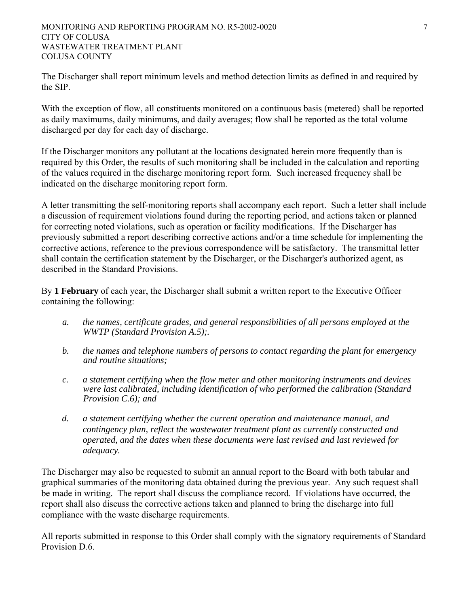#### MONITORING AND REPORTING PROGRAM NO. R5-2002-0020 7 CITY OF COLUSA WASTEWATER TREATMENT PLANT COLUSA COUNTY

The Discharger shall report minimum levels and method detection limits as defined in and required by the SIP.

With the exception of flow, all constituents monitored on a continuous basis (metered) shall be reported as daily maximums, daily minimums, and daily averages; flow shall be reported as the total volume discharged per day for each day of discharge.

If the Discharger monitors any pollutant at the locations designated herein more frequently than is required by this Order, the results of such monitoring shall be included in the calculation and reporting of the values required in the discharge monitoring report form. Such increased frequency shall be indicated on the discharge monitoring report form.

A letter transmitting the self-monitoring reports shall accompany each report. Such a letter shall include a discussion of requirement violations found during the reporting period, and actions taken or planned for correcting noted violations, such as operation or facility modifications. If the Discharger has previously submitted a report describing corrective actions and/or a time schedule for implementing the corrective actions, reference to the previous correspondence will be satisfactory. The transmittal letter shall contain the certification statement by the Discharger, or the Discharger's authorized agent, as described in the Standard Provisions.

By **1 February** of each year, the Discharger shall submit a written report to the Executive Officer containing the following:

- *a. the names, certificate grades, and general responsibilities of all persons employed at the WWTP (Standard Provision A.5);.*
- *b. the names and telephone numbers of persons to contact regarding the plant for emergency and routine situations;*
- *c. a statement certifying when the flow meter and other monitoring instruments and devices were last calibrated, including identification of who performed the calibration (Standard Provision C.6); and*
- *d. a statement certifying whether the current operation and maintenance manual, and contingency plan, reflect the wastewater treatment plant as currently constructed and operated, and the dates when these documents were last revised and last reviewed for adequacy.*

The Discharger may also be requested to submit an annual report to the Board with both tabular and graphical summaries of the monitoring data obtained during the previous year. Any such request shall be made in writing. The report shall discuss the compliance record. If violations have occurred, the report shall also discuss the corrective actions taken and planned to bring the discharge into full compliance with the waste discharge requirements.

All reports submitted in response to this Order shall comply with the signatory requirements of Standard Provision D.6.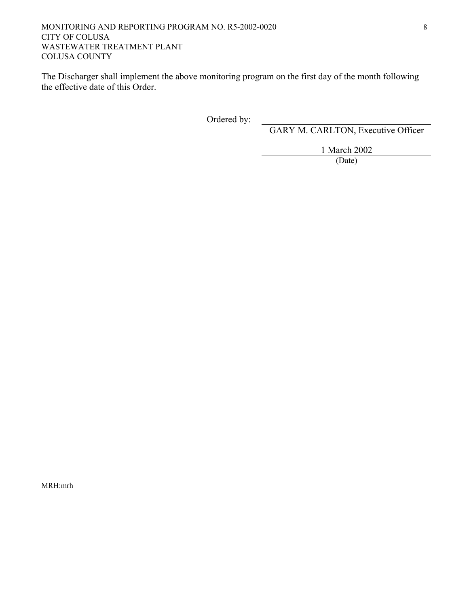The Discharger shall implement the above monitoring program on the first day of the month following the effective date of this Order.

Ordered by:

GARY M. CARLTON, Executive Officer

1 March 2002

(Date)

MRH:mrh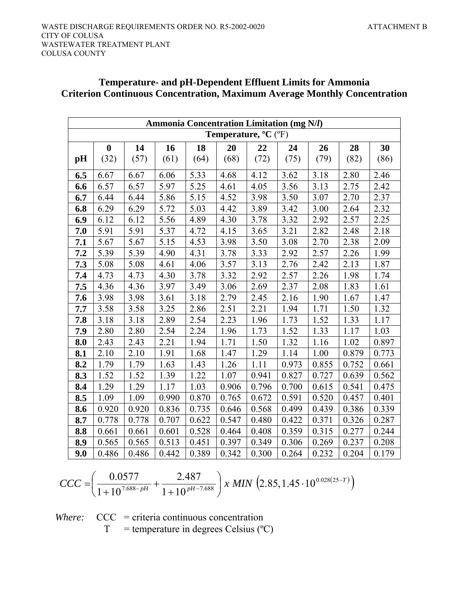|                                                            | <b>Ammonia Concentration Limitation (mg N/l)</b> |       |       |       |       |       |       |       |       |       |
|------------------------------------------------------------|--------------------------------------------------|-------|-------|-------|-------|-------|-------|-------|-------|-------|
| <b>Temperature, <math>^{\circ}C</math></b> ( $^{\circ}F$ ) |                                                  |       |       |       |       |       |       |       |       |       |
|                                                            | $\bf{0}$                                         | 14    | 16    | 18    | 20    | 22    | 24    | 26    | 28    | 30    |
| pH                                                         | (32)                                             | (57)  | (61)  | (64)  | (68)  | (72)  | (75)  | (79)  | (82)  | (86)  |
| 6.5                                                        | 6.67                                             | 6.67  | 6.06  | 5.33  | 4.68  | 4.12  | 3.62  | 3.18  | 2.80  | 2.46  |
| 6.6                                                        | 6.57                                             | 6.57  | 5.97  | 5.25  | 4.61  | 4.05  | 3.56  | 3.13  | 2.75  | 2.42  |
| 6.7                                                        | 6.44                                             | 6.44  | 5.86  | 5.15  | 4.52  | 3.98  | 3.50  | 3.07  | 2.70  | 2.37  |
| 6.8                                                        | 6.29                                             | 6.29  | 5.72  | 5.03  | 4.42  | 3.89  | 3.42  | 3.00  | 2.64  | 2.32  |
| 6.9                                                        | 6.12                                             | 6.12  | 5.56  | 4.89  | 4.30  | 3.78  | 3.32  | 2.92  | 2.57  | 2.25  |
| 7.0                                                        | 5.91                                             | 5.91  | 5.37  | 4.72  | 4.15  | 3.65  | 3.21  | 2.82  | 2.48  | 2.18  |
| 7.1                                                        | 5.67                                             | 5.67  | 5.15  | 4.53  | 3.98  | 3.50  | 3.08  | 2.70  | 2.38  | 2.09  |
| 7.2                                                        | 5.39                                             | 5.39  | 4.90  | 4.31  | 3.78  | 3.33  | 2.92  | 2.57  | 2.26  | 1.99  |
| 7.3                                                        | 5.08                                             | 5.08  | 4.61  | 4.06  | 3.57  | 3.13  | 2.76  | 2.42  | 2.13  | 1.87  |
| 7.4                                                        | 4.73                                             | 4.73  | 4.30  | 3.78  | 3.32  | 2.92  | 2.57  | 2.26  | 1.98  | 1.74  |
| 7.5                                                        | 4.36                                             | 4.36  | 3.97  | 3.49  | 3.06  | 2.69  | 2.37  | 2.08  | 1.83  | 1.61  |
| 7.6                                                        | 3.98                                             | 3.98  | 3.61  | 3.18  | 2.79  | 2.45  | 2.16  | 1.90  | 1.67  | 1.47  |
| 7.7                                                        | 3.58                                             | 3.58  | 3.25  | 2.86  | 2.51  | 2.21  | 1.94  | 1.71  | 1.50  | 1.32  |
| 7.8                                                        | 3.18                                             | 3.18  | 2.89  | 2.54  | 2.23  | 1.96  | 1.73  | 1.52  | 1.33  | 1.17  |
| 7.9                                                        | 2.80                                             | 2.80  | 2.54  | 2.24  | 1.96  | 1.73  | 1.52  | 1.33  | 1.17  | 1.03  |
| 8.0                                                        | 2.43                                             | 2.43  | 2.21  | 1.94  | 1.71  | 1.50  | 1.32  | 1.16  | 1.02  | 0.897 |
| 8.1                                                        | 2.10                                             | 2.10  | 1.91  | 1.68  | 1.47  | 1.29  | 1.14  | 1.00  | 0.879 | 0.773 |
| 8.2                                                        | 1.79                                             | 1.79  | 1.63  | 1.43  | 1.26  | 1.11  | 0.973 | 0.855 | 0.752 | 0.661 |
| 8.3                                                        | 1.52                                             | 1.52  | 1.39  | 1.22  | 1.07  | 0.941 | 0.827 | 0.727 | 0.639 | 0.562 |
| 8.4                                                        | 1.29                                             | 1.29  | 1.17  | 1.03  | 0.906 | 0.796 | 0.700 | 0.615 | 0.541 | 0.475 |
| 8.5                                                        | 1.09                                             | 1.09  | 0.990 | 0.870 | 0.765 | 0.672 | 0.591 | 0.520 | 0.457 | 0.401 |
| 8.6                                                        | 0.920                                            | 0.920 | 0.836 | 0.735 | 0.646 | 0.568 | 0.499 | 0.439 | 0.386 | 0.339 |
| 8.7                                                        | 0.778                                            | 0.778 | 0.707 | 0.622 | 0.547 | 0.480 | 0.422 | 0.371 | 0.326 | 0.287 |
| 8.8                                                        | 0.661                                            | 0.661 | 0.601 | 0.528 | 0.464 | 0.408 | 0.359 | 0.315 | 0.277 | 0.244 |
| 8.9                                                        | 0.565                                            | 0.565 | 0.513 | 0.451 | 0.397 | 0.349 | 0.306 | 0.269 | 0.237 | 0.208 |
| 9.0                                                        | 0.486                                            | 0.486 | 0.442 | 0.389 | 0.342 | 0.300 | 0.264 | 0.232 | 0.204 | 0.179 |

# **Temperature- and pH-Dependent Effluent Limits for Ammonia Criterion Continuous Concentration, Maximum Average Monthly Concentration**

$$
CCC = \left(\frac{0.0577}{1 + 10^{7.688 - pH}} + \frac{2.487}{1 + 10^{pt - 7.688}}\right) x \ MIN \left(2.85, 1.45 \cdot 10^{0.028(25 - T)}\right)
$$

*Where:* CCC = criteria continuous concentration

 $T =$  temperature in degrees Celsius (°C)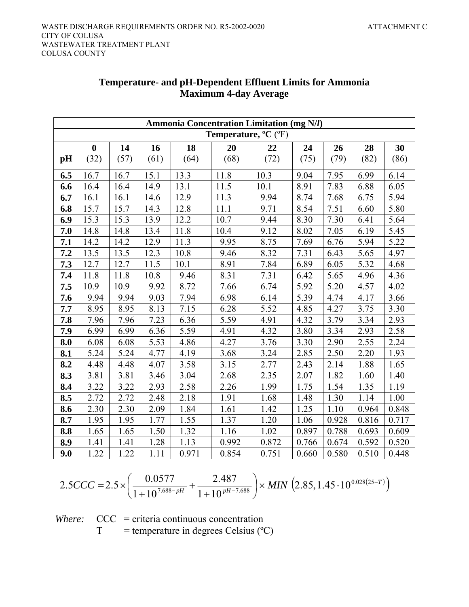| <b>Ammonia Concentration Limitation (mg N/l)</b>           |          |      |      |       |       |       |       |       |       |       |
|------------------------------------------------------------|----------|------|------|-------|-------|-------|-------|-------|-------|-------|
| <b>Temperature, <math>^{\circ}C</math></b> ( $^{\circ}F$ ) |          |      |      |       |       |       |       |       |       |       |
|                                                            | $\bf{0}$ | 14   | 16   | 18    | 20    | 22    | 24    | 26    | 28    | 30    |
| pH                                                         | (32)     | (57) | (61) | (64)  | (68)  | (72)  | (75)  | (79)  | (82)  | (86)  |
| 6.5                                                        | 16.7     | 16.7 | 15.1 | 13.3  | 11.8  | 10.3  | 9.04  | 7.95  | 6.99  | 6.14  |
| 6.6                                                        | 16.4     | 16.4 | 14.9 | 13.1  | 11.5  | 10.1  | 8.91  | 7.83  | 6.88  | 6.05  |
| 6.7                                                        | 16.1     | 16.1 | 14.6 | 12.9  | 11.3  | 9.94  | 8.74  | 7.68  | 6.75  | 5.94  |
| $6.8$                                                      | 15.7     | 15.7 | 14.3 | 12.8  | 11.1  | 9.71  | 8.54  | 7.51  | 6.60  | 5.80  |
| 6.9                                                        | 15.3     | 15.3 | 13.9 | 12.2  | 10.7  | 9.44  | 8.30  | 7.30  | 6.41  | 5.64  |
| 7.0                                                        | 14.8     | 14.8 | 13.4 | 11.8  | 10.4  | 9.12  | 8.02  | 7.05  | 6.19  | 5.45  |
| 7.1                                                        | 14.2     | 14.2 | 12.9 | 11.3  | 9.95  | 8.75  | 7.69  | 6.76  | 5.94  | 5.22  |
| 7.2                                                        | 13.5     | 13.5 | 12.3 | 10.8  | 9.46  | 8.32  | 7.31  | 6.43  | 5.65  | 4.97  |
| 7.3                                                        | 12.7     | 12.7 | 11.5 | 10.1  | 8.91  | 7.84  | 6.89  | 6.05  | 5.32  | 4.68  |
| 7.4                                                        | 11.8     | 11.8 | 10.8 | 9.46  | 8.31  | 7.31  | 6.42  | 5.65  | 4.96  | 4.36  |
| 7.5                                                        | 10.9     | 10.9 | 9.92 | 8.72  | 7.66  | 6.74  | 5.92  | 5.20  | 4.57  | 4.02  |
| 7.6                                                        | 9.94     | 9.94 | 9.03 | 7.94  | 6.98  | 6.14  | 5.39  | 4.74  | 4.17  | 3.66  |
| 7.7                                                        | 8.95     | 8.95 | 8.13 | 7.15  | 6.28  | 5.52  | 4.85  | 4.27  | 3.75  | 3.30  |
| 7.8                                                        | 7.96     | 7.96 | 7.23 | 6.36  | 5.59  | 4.91  | 4.32  | 3.79  | 3.34  | 2.93  |
| 7.9                                                        | 6.99     | 6.99 | 6.36 | 5.59  | 4.91  | 4.32  | 3.80  | 3.34  | 2.93  | 2.58  |
| 8.0                                                        | 6.08     | 6.08 | 5.53 | 4.86  | 4.27  | 3.76  | 3.30  | 2.90  | 2.55  | 2.24  |
| 8.1                                                        | 5.24     | 5.24 | 4.77 | 4.19  | 3.68  | 3.24  | 2.85  | 2.50  | 2.20  | 1.93  |
| 8.2                                                        | 4.48     | 4.48 | 4.07 | 3.58  | 3.15  | 2.77  | 2.43  | 2.14  | 1.88  | 1.65  |
| 8.3                                                        | 3.81     | 3.81 | 3.46 | 3.04  | 2.68  | 2.35  | 2.07  | 1.82  | 1.60  | 1.40  |
| 8.4                                                        | 3.22     | 3.22 | 2.93 | 2.58  | 2.26  | 1.99  | 1.75  | 1.54  | 1.35  | 1.19  |
| 8.5                                                        | 2.72     | 2.72 | 2.48 | 2.18  | 1.91  | 1.68  | 1.48  | 1.30  | 1.14  | 1.00  |
| 8.6                                                        | 2.30     | 2.30 | 2.09 | 1.84  | 1.61  | 1.42  | 1.25  | 1.10  | 0.964 | 0.848 |
| 8.7                                                        | 1.95     | 1.95 | 1.77 | 1.55  | 1.37  | 1.20  | 1.06  | 0.928 | 0.816 | 0.717 |
| 8.8                                                        | 1.65     | 1.65 | 1.50 | 1.32  | 1.16  | 1.02  | 0.897 | 0.788 | 0.693 | 0.609 |
| 8.9                                                        | 1.41     | 1.41 | 1.28 | 1.13  | 0.992 | 0.872 | 0.766 | 0.674 | 0.592 | 0.520 |
| 9.0                                                        | 1.22     | 1.22 | 1.11 | 0.971 | 0.854 | 0.751 | 0.660 | 0.580 | 0.510 | 0.448 |

# **Temperature- and pH-Dependent Effluent Limits for Ammonia Maximum 4-day Average**

$$
2.5CCC = 2.5 \times \left(\frac{0.0577}{1 + 10^{7.688 - pH}} + \frac{2.487}{1 + 10^{pH - 7.688}}\right) \times MIN\left(2.85, 1.45 \cdot 10^{0.028(25 - T)}\right)
$$

*Where:* CCC = criteria continuous concentration  $T =$  temperature in degrees Celsius ( $^{\circ}$ C)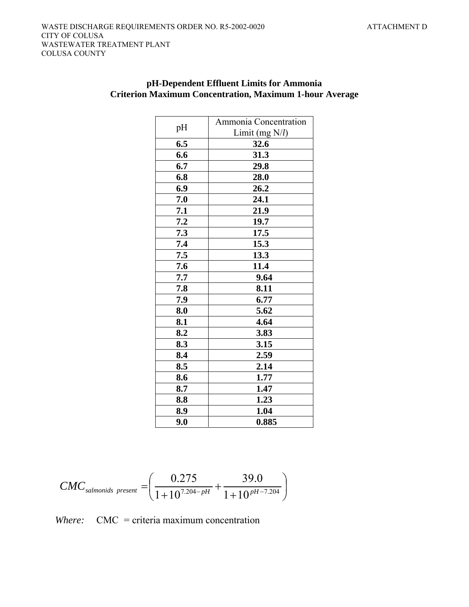| pH  | Ammonia Concentration |
|-----|-----------------------|
|     | Limit (mg $N/l$ )     |
| 6.5 | 32.6                  |
| 6.6 | 31.3                  |
| 6.7 | 29.8                  |
| 6.8 | 28.0                  |
| 6.9 | 26.2                  |
| 7.0 | 24.1                  |
| 7.1 | 21.9                  |
| 7.2 | 19.7                  |
| 7.3 | 17.5                  |
| 7.4 | 15.3                  |
| 7.5 | 13.3                  |
| 7.6 | 11.4                  |
| 7.7 | 9.64                  |
| 7.8 | 8.11                  |
| 7.9 | 6.77                  |
| 8.0 | 5.62                  |
| 8.1 | 4.64                  |
| 8.2 | 3.83                  |
| 8.3 | 3.15                  |
| 8.4 | 2.59                  |
| 8.5 | 2.14                  |
| 8.6 | 1.77                  |
| 8.7 | 1.47                  |
| 8.8 | 1.23                  |
| 8.9 | 1.04                  |
| 9.0 | 0.885                 |

# **pH-Dependent Effluent Limits for Ammonia Criterion Maximum Concentration, Maximum 1-hour Average**

$$
CMC_{salmonids\ present} = \left(\frac{0.275}{1+10^{7.204-pH}} + \frac{39.0}{1+10^{pH-7.204}}\right)
$$

*Where:* CMC = criteria maximum concentration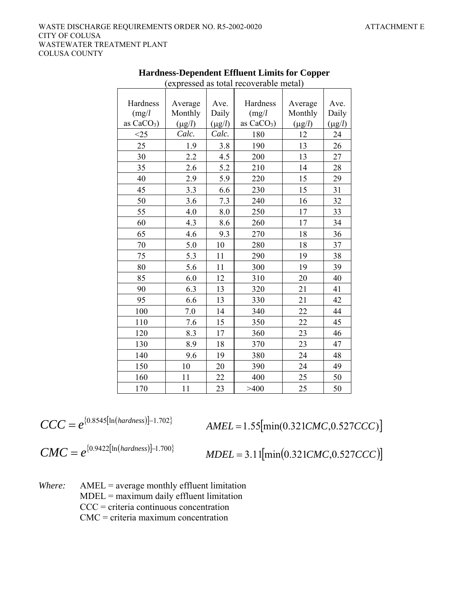|              |             |             | $\alpha$     |             |             |
|--------------|-------------|-------------|--------------|-------------|-------------|
|              |             |             |              |             |             |
| Hardness     | Average     | Ave.        | Hardness     | Average     | Ave.        |
| (mg/l)       | Monthly     | Daily       | (mg/l)       | Monthly     | Daily       |
| as $CaCO3$ ) | $(\mu g/l)$ | $(\mu g/l)$ | as $CaCO3$ ) | $(\mu g/l)$ | $(\mu g/l)$ |
| $<$ 25       | Calc.       | Calc.       | 180          | 12          | 24          |
| 25           | 1.9         | 3.8         | 190          | 13          | 26          |
| 30           | 2.2         | 4.5         | 200          | 13          | 27          |
| 35           | 2.6         | 5.2         | 210          | 14          | 28          |
| 40           | 2.9         | 5.9         | 220          | 15          | 29          |
| 45           | 3.3         | 6.6         | 230          | 15          | 31          |
| 50           | 3.6         | 7.3         | 240          | 16          | 32          |
| 55           | 4.0         | 8.0         | 250          | 17          | 33          |
| 60           | 4.3         | 8.6         | 260          | 17          | 34          |
| 65           | 4.6         | 9.3         | 270          | 18          | 36          |
| 70           | 5.0         | 10          | 280          | 18          | 37          |
| 75           | 5.3         | 11          | 290          | 19          | 38          |
| 80           | 5.6         | 11          | 300          | 19          | 39          |
| 85           | 6.0         | 12          | 310          | 20          | 40          |
| 90           | 6.3         | 13          | 320          | 21          | 41          |
| 95           | 6.6         | 13          | 330          | 21          | 42          |
| 100          | $7.0\,$     | 14          | 340          | 22          | 44          |
| 110          | 7.6         | 15          | 350          | 22          | 45          |
| 120          | 8.3         | 17          | 360          | 23          | 46          |
| 130          | 8.9         | 18          | 370          | 23          | 47          |
| 140          | 9.6         | 19          | 380          | 24          | 48          |
| 150          | 10          | 20          | 390          | 24          | 49          |
| 160          | 11          | 22          | 400          | 25          | 50          |
| 170          | 11          | 23          | >400         | 25          | 50          |

**Hardness-Dependent Effluent Limits for Copper**  (expressed as total recoverable metal)

$$
CCC = e^{\{0.8545[\ln(hardness)] - 1.702\}}
$$

 $CCC = e^{(0.8545[\ln(hardness)]-1.702}$   $AMEL = 1.55[\min(0.321CMC, 0.527CCC)]$ 

$$
CMC = e^{\{0.9422[ln(hardness)]-1.700\}}
$$

 $$ 

*Where:* AMEL = average monthly effluent limitation MDEL = maximum daily effluent limitation CCC = criteria continuous concentration CMC = criteria maximum concentration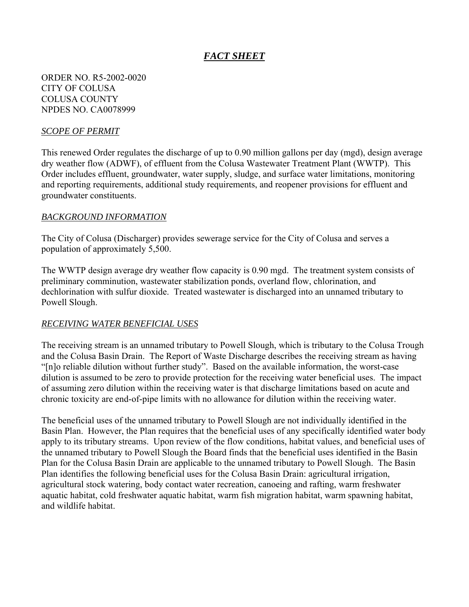# *FACT SHEET*

ORDER NO. R5-2002-0020 CITY OF COLUSA COLUSA COUNTY NPDES NO. CA0078999

### *SCOPE OF PERMIT*

This renewed Order regulates the discharge of up to 0.90 million gallons per day (mgd), design average dry weather flow (ADWF), of effluent from the Colusa Wastewater Treatment Plant (WWTP). This Order includes effluent, groundwater, water supply, sludge, and surface water limitations, monitoring and reporting requirements, additional study requirements, and reopener provisions for effluent and groundwater constituents.

#### *BACKGROUND INFORMATION*

The City of Colusa (Discharger) provides sewerage service for the City of Colusa and serves a population of approximately 5,500.

The WWTP design average dry weather flow capacity is 0.90 mgd. The treatment system consists of preliminary comminution, wastewater stabilization ponds, overland flow, chlorination, and dechlorination with sulfur dioxide. Treated wastewater is discharged into an unnamed tributary to Powell Slough.

### *RECEIVING WATER BENEFICIAL USES*

The receiving stream is an unnamed tributary to Powell Slough, which is tributary to the Colusa Trough and the Colusa Basin Drain. The Report of Waste Discharge describes the receiving stream as having "[n]o reliable dilution without further study". Based on the available information, the worst-case dilution is assumed to be zero to provide protection for the receiving water beneficial uses. The impact of assuming zero dilution within the receiving water is that discharge limitations based on acute and chronic toxicity are end-of-pipe limits with no allowance for dilution within the receiving water.

The beneficial uses of the unnamed tributary to Powell Slough are not individually identified in the Basin Plan. However, the Plan requires that the beneficial uses of any specifically identified water body apply to its tributary streams. Upon review of the flow conditions, habitat values, and beneficial uses of the unnamed tributary to Powell Slough the Board finds that the beneficial uses identified in the Basin Plan for the Colusa Basin Drain are applicable to the unnamed tributary to Powell Slough. The Basin Plan identifies the following beneficial uses for the Colusa Basin Drain: agricultural irrigation, agricultural stock watering, body contact water recreation, canoeing and rafting, warm freshwater aquatic habitat, cold freshwater aquatic habitat, warm fish migration habitat, warm spawning habitat, and wildlife habitat.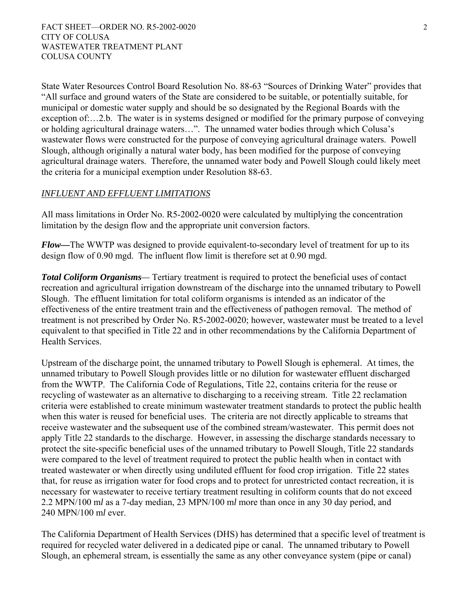State Water Resources Control Board Resolution No. 88-63 "Sources of Drinking Water" provides that "All surface and ground waters of the State are considered to be suitable, or potentially suitable, for municipal or domestic water supply and should be so designated by the Regional Boards with the exception of:…2.b. The water is in systems designed or modified for the primary purpose of conveying or holding agricultural drainage waters…". The unnamed water bodies through which Colusa's wastewater flows were constructed for the purpose of conveying agricultural drainage waters. Powell Slough, although originally a natural water body, has been modified for the purpose of conveying agricultural drainage waters. Therefore, the unnamed water body and Powell Slough could likely meet the criteria for a municipal exemption under Resolution 88-63.

# *INFLUENT AND EFFLUENT LIMITATIONS*

All mass limitations in Order No. R5-2002-0020 were calculated by multiplying the concentration limitation by the design flow and the appropriate unit conversion factors.

*Flow—*The WWTP was designed to provide equivalent-to-secondary level of treatment for up to its design flow of 0.90 mgd. The influent flow limit is therefore set at 0.90 mgd.

*Total Coliform Organisms—* Tertiary treatment is required to protect the beneficial uses of contact recreation and agricultural irrigation downstream of the discharge into the unnamed tributary to Powell Slough. The effluent limitation for total coliform organisms is intended as an indicator of the effectiveness of the entire treatment train and the effectiveness of pathogen removal. The method of treatment is not prescribed by Order No. R5-2002-0020; however, wastewater must be treated to a level equivalent to that specified in Title 22 and in other recommendations by the California Department of Health Services.

Upstream of the discharge point, the unnamed tributary to Powell Slough is ephemeral. At times, the unnamed tributary to Powell Slough provides little or no dilution for wastewater effluent discharged from the WWTP. The California Code of Regulations, Title 22, contains criteria for the reuse or recycling of wastewater as an alternative to discharging to a receiving stream. Title 22 reclamation criteria were established to create minimum wastewater treatment standards to protect the public health when this water is reused for beneficial uses. The criteria are not directly applicable to streams that receive wastewater and the subsequent use of the combined stream/wastewater. This permit does not apply Title 22 standards to the discharge. However, in assessing the discharge standards necessary to protect the site-specific beneficial uses of the unnamed tributary to Powell Slough, Title 22 standards were compared to the level of treatment required to protect the public health when in contact with treated wastewater or when directly using undiluted effluent for food crop irrigation. Title 22 states that, for reuse as irrigation water for food crops and to protect for unrestricted contact recreation, it is necessary for wastewater to receive tertiary treatment resulting in coliform counts that do not exceed 2.2 MPN/100 m*l* as a 7-day median, 23 MPN/100 m*l* more than once in any 30 day period, and 240 MPN/100 m*l* ever.

The California Department of Health Services (DHS) has determined that a specific level of treatment is required for recycled water delivered in a dedicated pipe or canal. The unnamed tributary to Powell Slough, an ephemeral stream, is essentially the same as any other conveyance system (pipe or canal)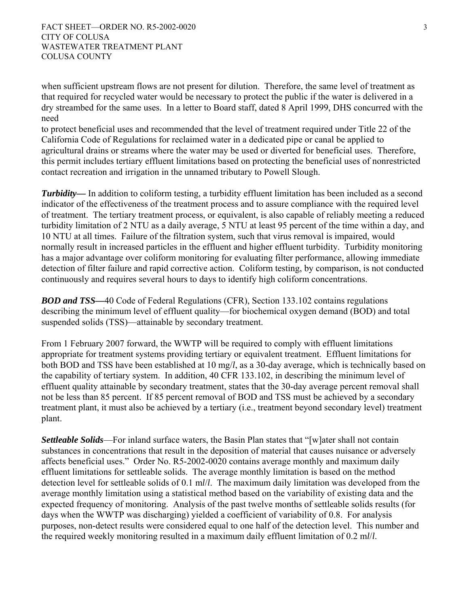FACT SHEET—ORDER NO. R5-2002-0020 3 CITY OF COLUSA WASTEWATER TREATMENT PLANT COLUSA COUNTY

when sufficient upstream flows are not present for dilution. Therefore, the same level of treatment as that required for recycled water would be necessary to protect the public if the water is delivered in a dry streambed for the same uses. In a letter to Board staff, dated 8 April 1999, DHS concurred with the need

to protect beneficial uses and recommended that the level of treatment required under Title 22 of the California Code of Regulations for reclaimed water in a dedicated pipe or canal be applied to agricultural drains or streams where the water may be used or diverted for beneficial uses. Therefore, this permit includes tertiary effluent limitations based on protecting the beneficial uses of nonrestricted contact recreation and irrigation in the unnamed tributary to Powell Slough.

*Turbidity*— In addition to coliform testing, a turbidity effluent limitation has been included as a second indicator of the effectiveness of the treatment process and to assure compliance with the required level of treatment. The tertiary treatment process, or equivalent, is also capable of reliably meeting a reduced turbidity limitation of 2 NTU as a daily average, 5 NTU at least 95 percent of the time within a day, and 10 NTU at all times. Failure of the filtration system, such that virus removal is impaired, would normally result in increased particles in the effluent and higher effluent turbidity. Turbidity monitoring has a major advantage over coliform monitoring for evaluating filter performance, allowing immediate detection of filter failure and rapid corrective action. Coliform testing, by comparison, is not conducted continuously and requires several hours to days to identify high coliform concentrations.

*BOD and TSS—*40 Code of Federal Regulations (CFR), Section 133.102 contains regulations describing the minimum level of effluent quality—for biochemical oxygen demand (BOD) and total suspended solids (TSS)—attainable by secondary treatment.

From 1 February 2007 forward, the WWTP will be required to comply with effluent limitations appropriate for treatment systems providing tertiary or equivalent treatment. Effluent limitations for both BOD and TSS have been established at 10 mg/*l*, as a 30-day average, which is technically based on the capability of tertiary system. In addition, 40 CFR 133.102, in describing the minimum level of effluent quality attainable by secondary treatment, states that the 30-day average percent removal shall not be less than 85 percent. If 85 percent removal of BOD and TSS must be achieved by a secondary treatment plant, it must also be achieved by a tertiary (i.e., treatment beyond secondary level) treatment plant.

*Settleable Solids*—For inland surface waters, the Basin Plan states that "[w]ater shall not contain substances in concentrations that result in the deposition of material that causes nuisance or adversely affects beneficial uses." Order No. R5-2002-0020 contains average monthly and maximum daily effluent limitations for settleable solids. The average monthly limitation is based on the method detection level for settleable solids of 0.1 m*l*/*l*. The maximum daily limitation was developed from the average monthly limitation using a statistical method based on the variability of existing data and the expected frequency of monitoring. Analysis of the past twelve months of settleable solids results (for days when the WWTP was discharging) yielded a coefficient of variability of 0.8. For analysis purposes, non-detect results were considered equal to one half of the detection level. This number and the required weekly monitoring resulted in a maximum daily effluent limitation of 0.2 m*l*/*l*.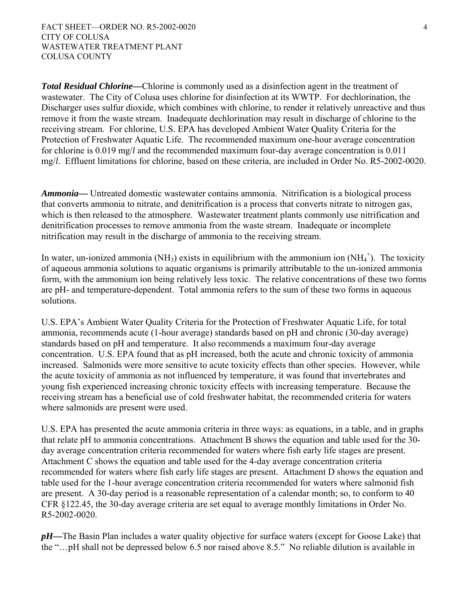*Total Residual Chlorine—*Chlorine is commonly used as a disinfection agent in the treatment of wastewater. The City of Colusa uses chlorine for disinfection at its WWTP. For dechlorination, the Discharger uses sulfur dioxide, which combines with chlorine, to render it relatively unreactive and thus remove it from the waste stream. Inadequate dechlorination may result in discharge of chlorine to the receiving stream. For chlorine, U.S. EPA has developed Ambient Water Quality Criteria for the Protection of Freshwater Aquatic Life. The recommended maximum one-hour average concentration for chlorine is 0.019 mg/*l* and the recommended maximum four-day average concentration is 0.011 mg/*l*. Effluent limitations for chlorine, based on these criteria, are included in Order No. R5-2002-0020.

*Ammonia—* Untreated domestic wastewater contains ammonia. Nitrification is a biological process that converts ammonia to nitrate, and denitrification is a process that converts nitrate to nitrogen gas, which is then released to the atmosphere. Wastewater treatment plants commonly use nitrification and denitrification processes to remove ammonia from the waste stream. Inadequate or incomplete nitrification may result in the discharge of ammonia to the receiving stream.

In water, un-ionized ammonia (NH<sub>3</sub>) exists in equilibrium with the ammonium ion (NH<sub>4</sub><sup>+</sup>). The toxicity of aqueous ammonia solutions to aquatic organisms is primarily attributable to the un-ionized ammonia form, with the ammonium ion being relatively less toxic. The relative concentrations of these two forms are pH- and temperature-dependent. Total ammonia refers to the sum of these two forms in aqueous solutions.

U.S. EPA's Ambient Water Quality Criteria for the Protection of Freshwater Aquatic Life, for total ammonia, recommends acute (1-hour average) standards based on pH and chronic (30-day average) standards based on pH and temperature. It also recommends a maximum four-day average concentration. U.S. EPA found that as pH increased, both the acute and chronic toxicity of ammonia increased. Salmonids were more sensitive to acute toxicity effects than other species. However, while the acute toxicity of ammonia as not influenced by temperature, it was found that invertebrates and young fish experienced increasing chronic toxicity effects with increasing temperature. Because the receiving stream has a beneficial use of cold freshwater habitat, the recommended criteria for waters where salmonids are present were used.

U.S. EPA has presented the acute ammonia criteria in three ways: as equations, in a table, and in graphs that relate pH to ammonia concentrations. Attachment B shows the equation and table used for the 30 day average concentration criteria recommended for waters where fish early life stages are present. Attachment C shows the equation and table used for the 4-day average concentration criteria recommended for waters where fish early life stages are present. Attachment D shows the equation and table used for the 1-hour average concentration criteria recommended for waters where salmonid fish are present. A 30-day period is a reasonable representation of a calendar month; so, to conform to 40 CFR §122.45, the 30-day average criteria are set equal to average monthly limitations in Order No. R5-2002-0020.

*pH—*The Basin Plan includes a water quality objective for surface waters (except for Goose Lake) that the "…pH shall not be depressed below 6.5 nor raised above 8.5." No reliable dilution is available in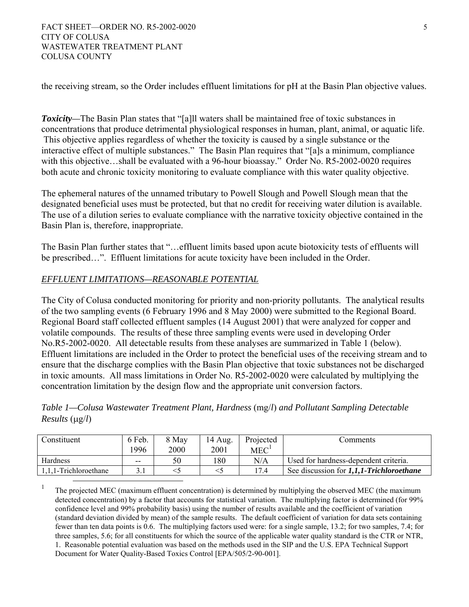the receiving stream, so the Order includes effluent limitations for pH at the Basin Plan objective values.

*Toxicity—*The Basin Plan states that "[a]ll waters shall be maintained free of toxic substances in concentrations that produce detrimental physiological responses in human, plant, animal, or aquatic life. This objective applies regardless of whether the toxicity is caused by a single substance or the interactive effect of multiple substances." The Basin Plan requires that "[a]s a minimum, compliance with this objective…shall be evaluated with a 96-hour bioassay." Order No. R5-2002-0020 requires both acute and chronic toxicity monitoring to evaluate compliance with this water quality objective.

The ephemeral natures of the unnamed tributary to Powell Slough and Powell Slough mean that the designated beneficial uses must be protected, but that no credit for receiving water dilution is available. The use of a dilution series to evaluate compliance with the narrative toxicity objective contained in the Basin Plan is, therefore, inappropriate.

The Basin Plan further states that "…effluent limits based upon acute biotoxicity tests of effluents will be prescribed…". Effluent limitations for acute toxicity have been included in the Order.

# *EFFLUENT LIMITATIONS—REASONABLE POTENTIAL*

The City of Colusa conducted monitoring for priority and non-priority pollutants. The analytical results of the two sampling events (6 February 1996 and 8 May 2000) were submitted to the Regional Board. Regional Board staff collected effluent samples (14 August 2001) that were analyzed for copper and volatile compounds. The results of these three sampling events were used in developing Order No.R5-2002-0020. All detectable results from these analyses are summarized in Table 1 (below). Effluent limitations are included in the Order to protect the beneficial uses of the receiving stream and to ensure that the discharge complies with the Basin Plan objective that toxic substances not be discharged in toxic amounts. All mass limitations in Order No. R5-2002-0020 were calculated by multiplying the concentration limitation by the design flow and the appropriate unit conversion factors.

*Table 1—Colusa Wastewater Treatment Plant, Hardness* (mg/*l*) *and Pollutant Sampling Detectable Results* (μg/*l*)

| Constituent           | 6 Feb. | 8 May | 14 Aug. | Projected | Comments                                 |
|-----------------------|--------|-------|---------|-----------|------------------------------------------|
|                       | 1996   | 2000  | 2001    | MEC       |                                          |
| Hardness              | $- -$  | 50    | 180     | N/A       | Used for hardness-dependent criteria.    |
| 1.1.1-Trichloroethane |        |       |         | 17.4      | See discussion for 1,1,1-Trichloroethane |

<sup>&</sup>lt;sup>1</sup> The projected MEC (maximum effluent concentration) is determined by multiplying the observed MEC (the maximum detected concentration) by a factor that accounts for statistical variation. The multiplying factor is determined (for 99% confidence level and 99% probability basis) using the number of results available and the coefficient of variation (standard deviation divided by mean) of the sample results. The default coefficient of variation for data sets containing fewer than ten data points is 0.6. The multiplying factors used were: for a single sample, 13.2; for two samples, 7.4; for three samples, 5.6; for all constituents for which the source of the applicable water quality standard is the CTR or NTR, 1. Reasonable potential evaluation was based on the methods used in the SIP and the U.S. EPA Technical Support Document for Water Quality-Based Toxics Control [EPA/505/2-90-001].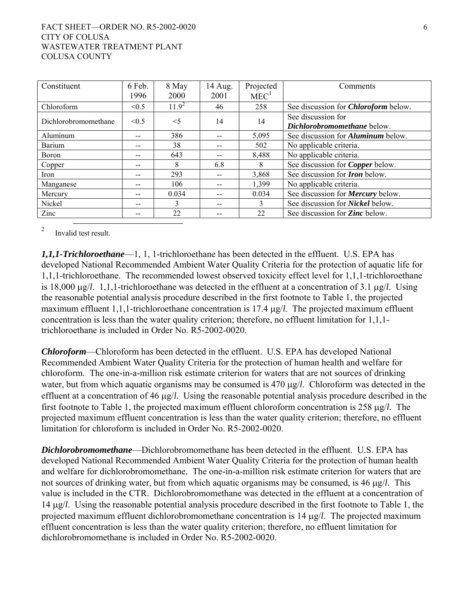#### FACT SHEET—ORDER NO. R5-2002-0020 6 CITY OF COLUSA WASTEWATER TREATMENT PLANT COLUSA COUNTY

| Constituent          | 6 Feb. | 8 May      | 14 Aug. | Projected        | Comments                                    |
|----------------------|--------|------------|---------|------------------|---------------------------------------------|
|                      | 1996   | 2000       | 2001    | MEC <sup>1</sup> |                                             |
| Chloroform           | < 0.5  | $11.9^{2}$ | 46      | 258              | See discussion for <i>Chloroform</i> below. |
| Dichlorobromomethane | < 0.5  | $<$ 5      | 14      | 14               | See discussion for                          |
|                      |        |            |         |                  | Dichlorobromomethane below.                 |
| Aluminum             | --     | 386        | --      | 5,095            | See discussion for <i>Aluminum</i> below.   |
| Barium               |        | 38         | --      | 502              | No applicable criteria.                     |
| <b>Boron</b>         |        | 643        | $- -$   | 8.488            | No applicable criteria.                     |
| Copper               | --     | 8          | 6.8     | 8                | See discussion for <i>Copper</i> below.     |
| Iron                 | --     | 293        | $- -$   | 3,868            | See discussion for <b>Iron</b> below.       |
| Manganese            | --     | 106        | --      | 1,399            | No applicable criteria.                     |
| Mercury              |        | 0.034      | --      | 0.034            | See discussion for <b>Mercury</b> below.    |
| Nickel               | --     | 3          | --      | 3                | See discussion for <i>Nickel</i> below.     |
| Zinc                 |        | 22         | --      | 22               | See discussion for <b>Zinc</b> below.       |

<sup>2</sup> Invalid test result.

*1,1,1-Trichloroethane*—1, 1, 1-trichloroethane has been detected in the effluent. U.S. EPA has developed National Recommended Ambient Water Quality Criteria for the protection of aquatic life for 1,1,1-trichloroethane. The recommended lowest observed toxicity effect level for 1,1,1-trichloroethane is 18,000 μg/*l*. 1,1,1-trichloroethane was detected in the effluent at a concentration of 3.1 μg/*l*. Using the reasonable potential analysis procedure described in the first footnote to Table 1, the projected maximum effluent 1,1,1-trichloroethane concentration is 17.4 μg/*l*. The projected maximum effluent concentration is less than the water quality criterion; therefore, no effluent limitation for 1,1,1 trichloroethane is included in Order No. R5-2002-0020.

*Chloroform*—Chloroform has been detected in the effluent. U.S. EPA has developed National Recommended Ambient Water Quality Criteria for the protection of human health and welfare for chloroform. The one-in-a-million risk estimate criterion for waters that are not sources of drinking water, but from which aquatic organisms may be consumed is 470 μg/*l*. Chloroform was detected in the effluent at a concentration of 46 μg/*l*. Using the reasonable potential analysis procedure described in the first footnote to Table 1, the projected maximum effluent chloroform concentration is 258 μg/*l*. The projected maximum effluent concentration is less than the water quality criterion; therefore, no effluent limitation for chloroform is included in Order No. R5-2002-0020.

*Dichlorobromomethane*—Dichlorobromomethane has been detected in the effluent. U.S. EPA has developed National Recommended Ambient Water Quality Criteria for the protection of human health and welfare for dichlorobromomethane. The one-in-a-million risk estimate criterion for waters that are not sources of drinking water, but from which aquatic organisms may be consumed, is 46 μg/*l*. This value is included in the CTR. Dichlorobromomethane was detected in the effluent at a concentration of 14 μg/*l*. Using the reasonable potential analysis procedure described in the first footnote to Table 1, the projected maximum effluent dichlorobromomethane concentration is 14 μg/*l*. The projected maximum effluent concentration is less than the water quality criterion; therefore, no effluent limitation for dichlorobromomethane is included in Order No. R5-2002-0020.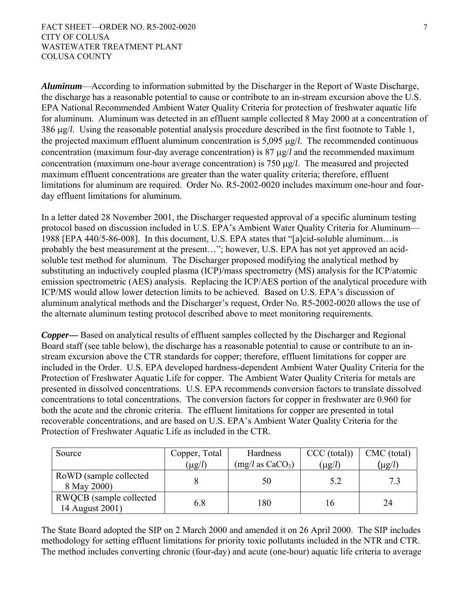*Aluminum*—According to information submitted by the Discharger in the Report of Waste Discharge, the discharge has a reasonable potential to cause or contribute to an in-stream excursion above the U.S. EPA National Recommended Ambient Water Quality Criteria for protection of freshwater aquatic life for aluminum. Aluminum was detected in an effluent sample collected 8 May 2000 at a concentration of 386 μg/*l*. Using the reasonable potential analysis procedure described in the first footnote to Table 1, the projected maximum effluent aluminum concentration is 5,095 μg/*l*. The recommended continuous concentration (maximum four-day average concentration) is 87 μg/*l* and the recommended maximum concentration (maximum one-hour average concentration) is 750 μg/*l*. The measured and projected maximum effluent concentrations are greater than the water quality criteria; therefore, effluent limitations for aluminum are required. Order No. R5-2002-0020 includes maximum one-hour and fourday effluent limitations for aluminum.

In a letter dated 28 November 2001, the Discharger requested approval of a specific aluminum testing protocol based on discussion included in U.S. EPA's Ambient Water Quality Criteria for Aluminum— 1988 [EPA 440/5-86-008]. In this document, U.S. EPA states that "[a]cid-soluble aluminum…is probably the best measurement at the present…"; however, U.S. EPA has not yet approved an acidsoluble test method for aluminum. The Discharger proposed modifying the analytical method by substituting an inductively coupled plasma (ICP)/mass spectrometry (MS) analysis for the ICP/atomic emission spectrometric (AES) analysis. Replacing the ICP/AES portion of the analytical procedure with ICP/MS would allow lower detection limits to be achieved. Based on U.S. EPA's discussion of aluminum analytical methods and the Discharger's request, Order No. R5-2002-0020 allows the use of the alternate aluminum testing protocol described above to meet monitoring requirements.

*Copper—* Based on analytical results of effluent samples collected by the Discharger and Regional Board staff (see table below), the discharge has a reasonable potential to cause or contribute to an instream excursion above the CTR standards for copper; therefore, effluent limitations for copper are included in the Order. U.S. EPA developed hardness-dependent Ambient Water Quality Criteria for the Protection of Freshwater Aquatic Life for copper. The Ambient Water Quality Criteria for metals are presented in dissolved concentrations. U.S. EPA recommends conversion factors to translate dissolved concentrations to total concentrations. The conversion factors for copper in freshwater are 0.960 for both the acute and the chronic criteria. The effluent limitations for copper are presented in total recoverable concentrations, and are based on U.S. EPA's Ambient Water Quality Criteria for the Protection of Freshwater Aquatic Life as included in the CTR.

| Source                                     | Copper, Total | Hardness                   | CCC (total) | CMC (total) |
|--------------------------------------------|---------------|----------------------------|-------------|-------------|
|                                            | $(\mu g/l)$   | $(mg/l \text{ as } CaCO3)$ | $(\mu g/l)$ | $(\mu g/l)$ |
| RoWD (sample collected<br>8 May 2000)      |               | 50                         | 5.2         | 7.3         |
| RWQCB (sample collected<br>14 August 2001) | 6.8           | .80                        |             | 24          |

The State Board adopted the SIP on 2 March 2000 and amended it on 26 April 2000. The SIP includes methodology for setting effluent limitations for priority toxic pollutants included in the NTR and CTR. The method includes converting chronic (four-day) and acute (one-hour) aquatic life criteria to average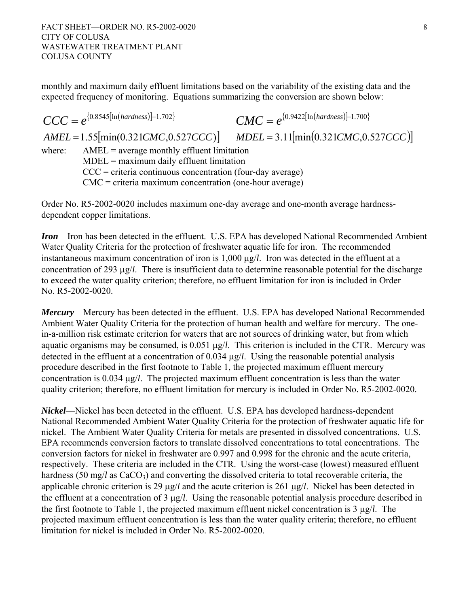monthly and maximum daily effluent limitations based on the variability of the existing data and the expected frequency of monitoring. Equations summarizing the conversion are shown below:

 $CCC = e^{\{0.8545[\ln(hardness)]-1.702\}}$   $CMC = e^{\{0.9422[\ln(hardness)]-1.700\}}$  $AMEL = 1.55$ [min(0.321*CMC*,0.527*CCC*)]  $MDEL = 3.11$ [min(0.321*CMC*,0.527*CCC*)] where:  $AMEL = average monthly effluent limitation$  $MDEL =$  maximum daily effluent limitation  $CCC =$  criteria continuous concentration (four-day average) CMC = criteria maximum concentration (one-hour average)

Order No. R5-2002-0020 includes maximum one-day average and one-month average hardnessdependent copper limitations.

*Iron*—Iron has been detected in the effluent. U.S. EPA has developed National Recommended Ambient Water Quality Criteria for the protection of freshwater aquatic life for iron. The recommended instantaneous maximum concentration of iron is 1,000 μg/*l*. Iron was detected in the effluent at a concentration of 293 μg/*l*. There is insufficient data to determine reasonable potential for the discharge to exceed the water quality criterion; therefore, no effluent limitation for iron is included in Order No. R5-2002-0020.

*Mercury*—Mercury has been detected in the effluent. U.S. EPA has developed National Recommended Ambient Water Quality Criteria for the protection of human health and welfare for mercury. The onein-a-million risk estimate criterion for waters that are not sources of drinking water, but from which aquatic organisms may be consumed, is 0.051 μg/*l*. This criterion is included in the CTR. Mercury was detected in the effluent at a concentration of 0.034 μg/*l*. Using the reasonable potential analysis procedure described in the first footnote to Table 1, the projected maximum effluent mercury concentration is 0.034 μg/*l*. The projected maximum effluent concentration is less than the water quality criterion; therefore, no effluent limitation for mercury is included in Order No. R5-2002-0020.

*Nickel*—Nickel has been detected in the effluent. U.S. EPA has developed hardness-dependent National Recommended Ambient Water Quality Criteria for the protection of freshwater aquatic life for nickel. The Ambient Water Quality Criteria for metals are presented in dissolved concentrations. U.S. EPA recommends conversion factors to translate dissolved concentrations to total concentrations. The conversion factors for nickel in freshwater are 0.997 and 0.998 for the chronic and the acute criteria, respectively. These criteria are included in the CTR. Using the worst-case (lowest) measured effluent hardness (50 mg/*l* as CaCO<sub>3</sub>) and converting the dissolved criteria to total recoverable criteria, the applicable chronic criterion is 29 μg/*l* and the acute criterion is 261 μg/*l*. Nickel has been detected in the effluent at a concentration of 3 μg/*l*. Using the reasonable potential analysis procedure described in the first footnote to Table 1, the projected maximum effluent nickel concentration is 3 μg/*l*. The projected maximum effluent concentration is less than the water quality criteria; therefore, no effluent limitation for nickel is included in Order No. R5-2002-0020.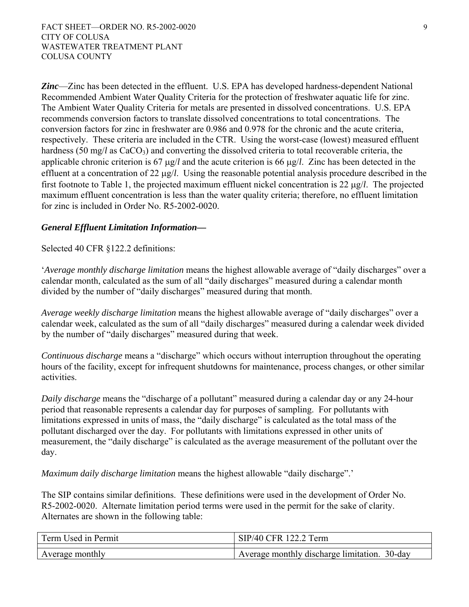*Zinc*—Zinc has been detected in the effluent. U.S. EPA has developed hardness-dependent National Recommended Ambient Water Quality Criteria for the protection of freshwater aquatic life for zinc. The Ambient Water Quality Criteria for metals are presented in dissolved concentrations. U.S. EPA recommends conversion factors to translate dissolved concentrations to total concentrations. The conversion factors for zinc in freshwater are 0.986 and 0.978 for the chronic and the acute criteria, respectively. These criteria are included in the CTR. Using the worst-case (lowest) measured effluent hardness (50 mg/*l* as CaCO<sub>3</sub>) and converting the dissolved criteria to total recoverable criteria, the applicable chronic criterion is 67 μg/*l* and the acute criterion is 66 μg/*l*. Zinc has been detected in the effluent at a concentration of 22 μg/*l*. Using the reasonable potential analysis procedure described in the first footnote to Table 1, the projected maximum effluent nickel concentration is 22 μg/*l*. The projected maximum effluent concentration is less than the water quality criteria; therefore, no effluent limitation for zinc is included in Order No. R5-2002-0020.

### *General Effluent Limitation Information—*

Selected 40 CFR §122.2 definitions:

'*Average monthly discharge limitation* means the highest allowable average of "daily discharges" over a calendar month, calculated as the sum of all "daily discharges" measured during a calendar month divided by the number of "daily discharges" measured during that month.

*Average weekly discharge limitation* means the highest allowable average of "daily discharges" over a calendar week, calculated as the sum of all "daily discharges" measured during a calendar week divided by the number of "daily discharges" measured during that week.

*Continuous discharge* means a "discharge" which occurs without interruption throughout the operating hours of the facility, except for infrequent shutdowns for maintenance, process changes, or other similar activities.

*Daily discharge* means the "discharge of a pollutant" measured during a calendar day or any 24-hour period that reasonable represents a calendar day for purposes of sampling. For pollutants with limitations expressed in units of mass, the "daily discharge" is calculated as the total mass of the pollutant discharged over the day. For pollutants with limitations expressed in other units of measurement, the "daily discharge" is calculated as the average measurement of the pollutant over the day.

*Maximum daily discharge limitation* means the highest allowable "daily discharge".'

The SIP contains similar definitions. These definitions were used in the development of Order No. R5-2002-0020. Alternate limitation period terms were used in the permit for the sake of clarity. Alternates are shown in the following table:

| Term Used in Permit | SIP/40 CFR 122.2 Term                        |
|---------------------|----------------------------------------------|
|                     |                                              |
| Average monthly     | Average monthly discharge limitation. 30-day |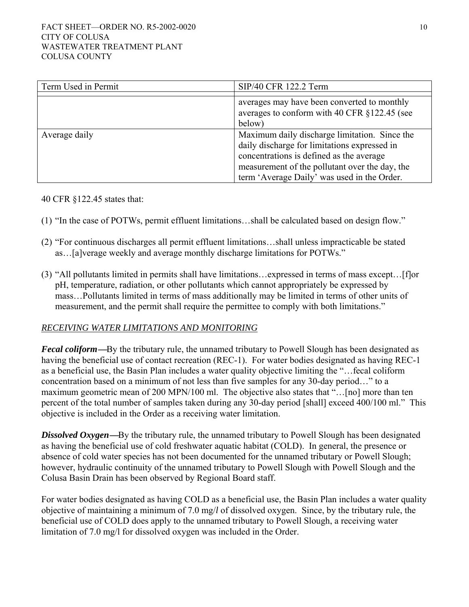| Term Used in Permit | SIP/40 CFR 122.2 Term                                                                                                                                                                                                                      |
|---------------------|--------------------------------------------------------------------------------------------------------------------------------------------------------------------------------------------------------------------------------------------|
|                     | averages may have been converted to monthly<br>averages to conform with 40 CFR §122.45 (see<br>below)                                                                                                                                      |
| Average daily       | Maximum daily discharge limitation. Since the<br>daily discharge for limitations expressed in<br>concentrations is defined as the average<br>measurement of the pollutant over the day, the<br>term 'Average Daily' was used in the Order. |

40 CFR §122.45 states that:

- (1) "In the case of POTWs, permit effluent limitations…shall be calculated based on design flow."
- (2) "For continuous discharges all permit effluent limitations…shall unless impracticable be stated as…[a]verage weekly and average monthly discharge limitations for POTWs."
- (3) "All pollutants limited in permits shall have limitations…expressed in terms of mass except…[f]or pH, temperature, radiation, or other pollutants which cannot appropriately be expressed by mass…Pollutants limited in terms of mass additionally may be limited in terms of other units of measurement, and the permit shall require the permittee to comply with both limitations."

### *RECEIVING WATER LIMITATIONS AND MONITORING*

*Fecal coliform***—**By the tributary rule, the unnamed tributary to Powell Slough has been designated as having the beneficial use of contact recreation (REC-1). For water bodies designated as having REC-1 as a beneficial use, the Basin Plan includes a water quality objective limiting the "…fecal coliform concentration based on a minimum of not less than five samples for any 30-day period…" to a maximum geometric mean of 200 MPN/100 ml. The objective also states that "…[no] more than ten percent of the total number of samples taken during any 30-day period [shall] exceed 400/100 ml." This objective is included in the Order as a receiving water limitation.

*Dissolved Oxygen***—**By the tributary rule, the unnamed tributary to Powell Slough has been designated as having the beneficial use of cold freshwater aquatic habitat (COLD). In general, the presence or absence of cold water species has not been documented for the unnamed tributary or Powell Slough; however, hydraulic continuity of the unnamed tributary to Powell Slough with Powell Slough and the Colusa Basin Drain has been observed by Regional Board staff.

For water bodies designated as having COLD as a beneficial use, the Basin Plan includes a water quality objective of maintaining a minimum of 7.0 mg/*l* of dissolved oxygen. Since, by the tributary rule, the beneficial use of COLD does apply to the unnamed tributary to Powell Slough, a receiving water limitation of 7.0 mg/l for dissolved oxygen was included in the Order.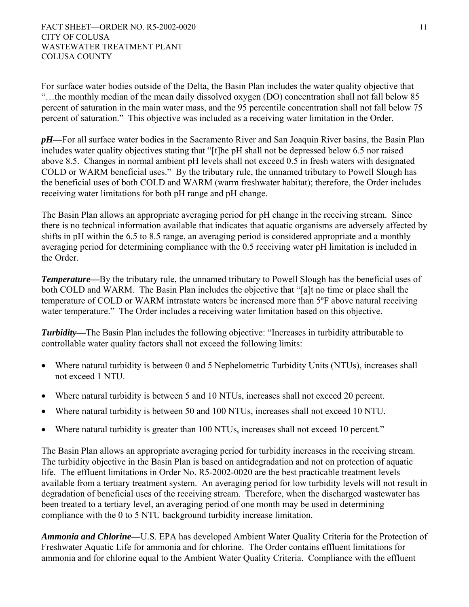For surface water bodies outside of the Delta, the Basin Plan includes the water quality objective that "…the monthly median of the mean daily dissolved oxygen (DO) concentration shall not fall below 85 percent of saturation in the main water mass, and the 95 percentile concentration shall not fall below 75 percent of saturation." This objective was included as a receiving water limitation in the Order.

*pH—*For all surface water bodies in the Sacramento River and San Joaquin River basins, the Basin Plan includes water quality objectives stating that "[t]he pH shall not be depressed below 6.5 nor raised above 8.5. Changes in normal ambient pH levels shall not exceed 0.5 in fresh waters with designated COLD or WARM beneficial uses." By the tributary rule, the unnamed tributary to Powell Slough has the beneficial uses of both COLD and WARM (warm freshwater habitat); therefore, the Order includes receiving water limitations for both pH range and pH change.

The Basin Plan allows an appropriate averaging period for pH change in the receiving stream. Since there is no technical information available that indicates that aquatic organisms are adversely affected by shifts in pH within the 6.5 to 8.5 range, an averaging period is considered appropriate and a monthly averaging period for determining compliance with the 0.5 receiving water pH limitation is included in the Order.

*Temperature—*By the tributary rule, the unnamed tributary to Powell Slough has the beneficial uses of both COLD and WARM. The Basin Plan includes the objective that "[a]t no time or place shall the temperature of COLD or WARM intrastate waters be increased more than 5ºF above natural receiving water temperature." The Order includes a receiving water limitation based on this objective.

*Turbidity—*The Basin Plan includes the following objective: "Increases in turbidity attributable to controllable water quality factors shall not exceed the following limits:

- Where natural turbidity is between 0 and 5 Nephelometric Turbidity Units (NTUs), increases shall not exceed 1 NTU.
- Where natural turbidity is between 5 and 10 NTUs, increases shall not exceed 20 percent.
- Where natural turbidity is between 50 and 100 NTUs, increases shall not exceed 10 NTU.
- Where natural turbidity is greater than 100 NTUs, increases shall not exceed 10 percent."

The Basin Plan allows an appropriate averaging period for turbidity increases in the receiving stream. The turbidity objective in the Basin Plan is based on antidegradation and not on protection of aquatic life. The effluent limitations in Order No. R5-2002-0020 are the best practicable treatment levels available from a tertiary treatment system. An averaging period for low turbidity levels will not result in degradation of beneficial uses of the receiving stream. Therefore, when the discharged wastewater has been treated to a tertiary level, an averaging period of one month may be used in determining compliance with the 0 to 5 NTU background turbidity increase limitation.

*Ammonia and Chlorine—*U.S. EPA has developed Ambient Water Quality Criteria for the Protection of Freshwater Aquatic Life for ammonia and for chlorine. The Order contains effluent limitations for ammonia and for chlorine equal to the Ambient Water Quality Criteria. Compliance with the effluent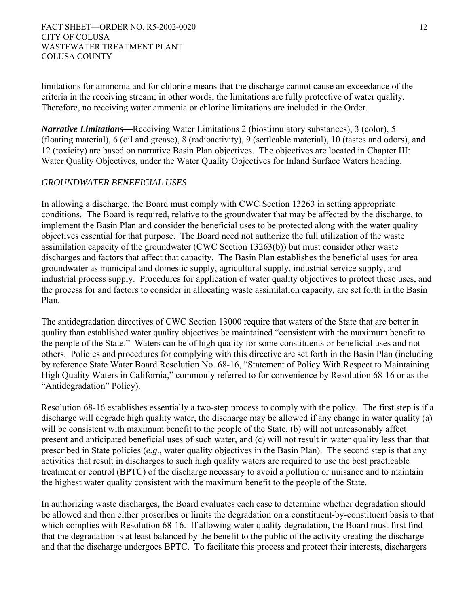limitations for ammonia and for chlorine means that the discharge cannot cause an exceedance of the criteria in the receiving stream; in other words, the limitations are fully protective of water quality. Therefore, no receiving water ammonia or chlorine limitations are included in the Order.

*Narrative Limitations—*Receiving Water Limitations 2 (biostimulatory substances), 3 (color), 5 (floating material), 6 (oil and grease), 8 (radioactivity), 9 (settleable material), 10 (tastes and odors), and 12 (toxicity) are based on narrative Basin Plan objectives. The objectives are located in Chapter III: Water Quality Objectives, under the Water Quality Objectives for Inland Surface Waters heading.

# *GROUNDWATER BENEFICIAL USES*

In allowing a discharge, the Board must comply with CWC Section 13263 in setting appropriate conditions. The Board is required, relative to the groundwater that may be affected by the discharge, to implement the Basin Plan and consider the beneficial uses to be protected along with the water quality objectives essential for that purpose. The Board need not authorize the full utilization of the waste assimilation capacity of the groundwater (CWC Section 13263(b)) but must consider other waste discharges and factors that affect that capacity. The Basin Plan establishes the beneficial uses for area groundwater as municipal and domestic supply, agricultural supply, industrial service supply, and industrial process supply. Procedures for application of water quality objectives to protect these uses, and the process for and factors to consider in allocating waste assimilation capacity, are set forth in the Basin Plan.

The antidegradation directives of CWC Section 13000 require that waters of the State that are better in quality than established water quality objectives be maintained "consistent with the maximum benefit to the people of the State." Waters can be of high quality for some constituents or beneficial uses and not others. Policies and procedures for complying with this directive are set forth in the Basin Plan (including by reference State Water Board Resolution No. 68-16, "Statement of Policy With Respect to Maintaining High Quality Waters in California," commonly referred to for convenience by Resolution 68-16 or as the "Antidegradation" Policy).

Resolution 68-16 establishes essentially a two-step process to comply with the policy. The first step is if a discharge will degrade high quality water, the discharge may be allowed if any change in water quality (a) will be consistent with maximum benefit to the people of the State, (b) will not unreasonably affect present and anticipated beneficial uses of such water, and (c) will not result in water quality less than that prescribed in State policies (*e.g*., water quality objectives in the Basin Plan). The second step is that any activities that result in discharges to such high quality waters are required to use the best practicable treatment or control (BPTC) of the discharge necessary to avoid a pollution or nuisance and to maintain the highest water quality consistent with the maximum benefit to the people of the State.

In authorizing waste discharges, the Board evaluates each case to determine whether degradation should be allowed and then either proscribes or limits the degradation on a constituent-by-constituent basis to that which complies with Resolution 68-16. If allowing water quality degradation, the Board must first find that the degradation is at least balanced by the benefit to the public of the activity creating the discharge and that the discharge undergoes BPTC. To facilitate this process and protect their interests, dischargers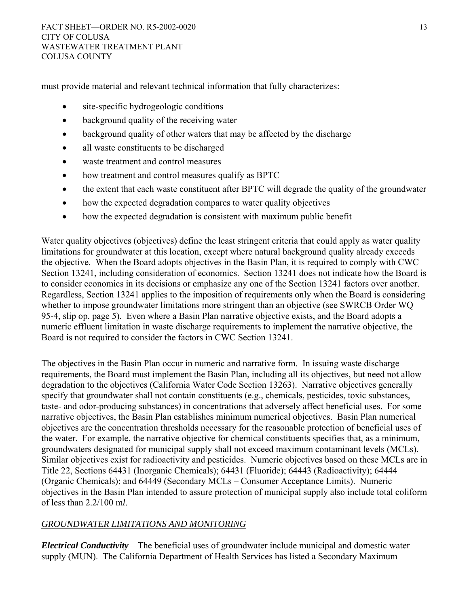must provide material and relevant technical information that fully characterizes:

- site-specific hydrogeologic conditions
- background quality of the receiving water
- background quality of other waters that may be affected by the discharge
- all waste constituents to be discharged
- waste treatment and control measures
- how treatment and control measures qualify as BPTC
- the extent that each waste constituent after BPTC will degrade the quality of the groundwater
- how the expected degradation compares to water quality objectives
- how the expected degradation is consistent with maximum public benefit

Water quality objectives (objectives) define the least stringent criteria that could apply as water quality limitations for groundwater at this location, except where natural background quality already exceeds the objective. When the Board adopts objectives in the Basin Plan, it is required to comply with CWC Section 13241, including consideration of economics. Section 13241 does not indicate how the Board is to consider economics in its decisions or emphasize any one of the Section 13241 factors over another. Regardless, Section 13241 applies to the imposition of requirements only when the Board is considering whether to impose groundwater limitations more stringent than an objective (see SWRCB Order WQ 95-4, slip op. page 5). Even where a Basin Plan narrative objective exists, and the Board adopts a numeric effluent limitation in waste discharge requirements to implement the narrative objective, the Board is not required to consider the factors in CWC Section 13241.

The objectives in the Basin Plan occur in numeric and narrative form. In issuing waste discharge requirements, the Board must implement the Basin Plan, including all its objectives, but need not allow degradation to the objectives (California Water Code Section 13263). Narrative objectives generally specify that groundwater shall not contain constituents (e.g., chemicals, pesticides, toxic substances, taste- and odor-producing substances) in concentrations that adversely affect beneficial uses. For some narrative objectives, the Basin Plan establishes minimum numerical objectives. Basin Plan numerical objectives are the concentration thresholds necessary for the reasonable protection of beneficial uses of the water. For example, the narrative objective for chemical constituents specifies that, as a minimum, groundwaters designated for municipal supply shall not exceed maximum contaminant levels (MCLs). Similar objectives exist for radioactivity and pesticides. Numeric objectives based on these MCLs are in Title 22, Sections 64431 (Inorganic Chemicals); 64431 (Fluoride); 64443 (Radioactivity); 64444 (Organic Chemicals); and 64449 (Secondary MCLs – Consumer Acceptance Limits). Numeric objectives in the Basin Plan intended to assure protection of municipal supply also include total coliform of less than 2.2/100 m*l*.

# *GROUNDWATER LIMITATIONS AND MONITORING*

*Electrical Conductivity*—The beneficial uses of groundwater include municipal and domestic water supply (MUN). The California Department of Health Services has listed a Secondary Maximum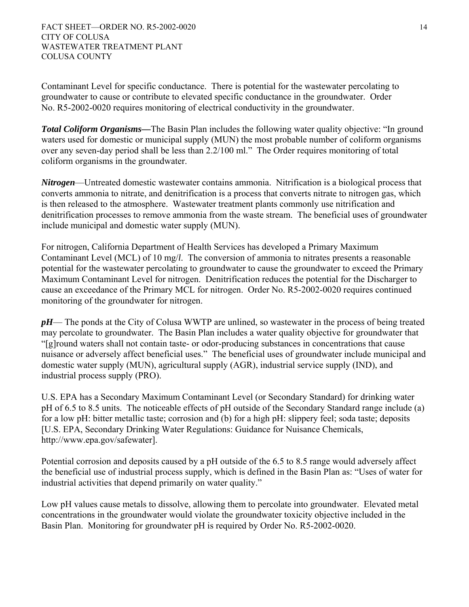Contaminant Level for specific conductance. There is potential for the wastewater percolating to groundwater to cause or contribute to elevated specific conductance in the groundwater. Order No. R5-2002-0020 requires monitoring of electrical conductivity in the groundwater.

*Total Coliform Organisms—*The Basin Plan includes the following water quality objective: "In ground waters used for domestic or municipal supply (MUN) the most probable number of coliform organisms over any seven-day period shall be less than 2.2/100 ml." The Order requires monitoring of total coliform organisms in the groundwater.

*Nitrogen*—Untreated domestic wastewater contains ammonia. Nitrification is a biological process that converts ammonia to nitrate, and denitrification is a process that converts nitrate to nitrogen gas, which is then released to the atmosphere. Wastewater treatment plants commonly use nitrification and denitrification processes to remove ammonia from the waste stream. The beneficial uses of groundwater include municipal and domestic water supply (MUN).

For nitrogen, California Department of Health Services has developed a Primary Maximum Contaminant Level (MCL) of 10 mg/*l*. The conversion of ammonia to nitrates presents a reasonable potential for the wastewater percolating to groundwater to cause the groundwater to exceed the Primary Maximum Contaminant Level for nitrogen. Denitrification reduces the potential for the Discharger to cause an exceedance of the Primary MCL for nitrogen. Order No. R5-2002-0020 requires continued monitoring of the groundwater for nitrogen.

*pH*— The ponds at the City of Colusa WWTP are unlined, so wastewater in the process of being treated may percolate to groundwater. The Basin Plan includes a water quality objective for groundwater that "[g]round waters shall not contain taste- or odor-producing substances in concentrations that cause nuisance or adversely affect beneficial uses." The beneficial uses of groundwater include municipal and domestic water supply (MUN), agricultural supply (AGR), industrial service supply (IND), and industrial process supply (PRO).

U.S. EPA has a Secondary Maximum Contaminant Level (or Secondary Standard) for drinking water pH of 6.5 to 8.5 units. The noticeable effects of pH outside of the Secondary Standard range include (a) for a low pH: bitter metallic taste; corrosion and (b) for a high pH: slippery feel; soda taste; deposits [U.S. EPA, Secondary Drinking Water Regulations: Guidance for Nuisance Chemicals, http://www.epa.gov/safewater].

Potential corrosion and deposits caused by a pH outside of the 6.5 to 8.5 range would adversely affect the beneficial use of industrial process supply, which is defined in the Basin Plan as: "Uses of water for industrial activities that depend primarily on water quality."

Low pH values cause metals to dissolve, allowing them to percolate into groundwater. Elevated metal concentrations in the groundwater would violate the groundwater toxicity objective included in the Basin Plan. Monitoring for groundwater pH is required by Order No. R5-2002-0020.